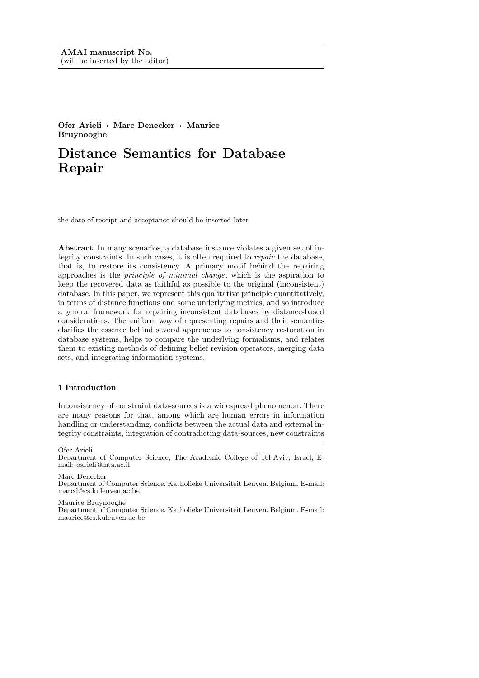Ofer Arieli · Marc Denecker · Maurice Bruynooghe

# Distance Semantics for Database Repair

the date of receipt and acceptance should be inserted later

Abstract In many scenarios, a database instance violates a given set of integrity constraints. In such cases, it is often required to repair the database, that is, to restore its consistency. A primary motif behind the repairing approaches is the principle of minimal change, which is the aspiration to keep the recovered data as faithful as possible to the original (inconsistent) database. In this paper, we represent this qualitative principle quantitatively, in terms of distance functions and some underlying metrics, and so introduce a general framework for repairing inconsistent databases by distance-based considerations. The uniform way of representing repairs and their semantics clarifies the essence behind several approaches to consistency restoration in database systems, helps to compare the underlying formalisms, and relates them to existing methods of defining belief revision operators, merging data sets, and integrating information systems.

# 1 Introduction

Inconsistency of constraint data-sources is a widespread phenomenon. There are many reasons for that, among which are human errors in information handling or understanding, conflicts between the actual data and external integrity constraints, integration of contradicting data-sources, new constraints

Marc Denecker Department of Computer Science, Katholieke Universiteit Leuven, Belgium, E-mail: marcd@cs.kuleuven.ac.be

Maurice Bruynooghe

Department of Computer Science, Katholieke Universiteit Leuven, Belgium, E-mail: maurice@cs.kuleuven.ac.be

Ofer Arieli

Department of Computer Science, The Academic College of Tel-Aviv, Israel, Email: oarieli@mta.ac.il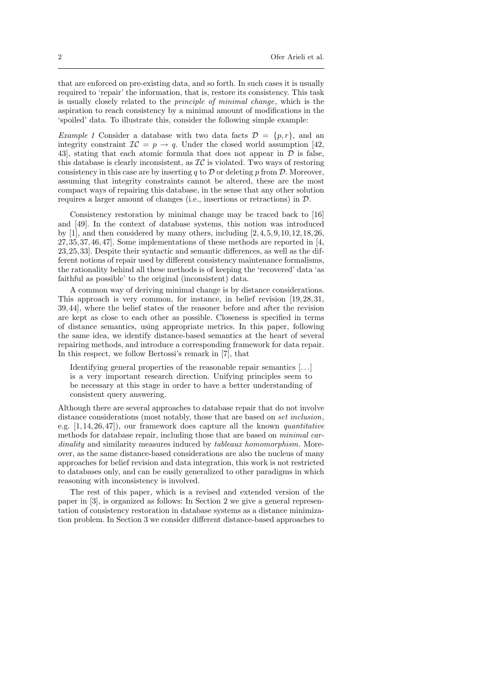that are enforced on pre-existing data, and so forth. In such cases it is usually required to 'repair' the information, that is, restore its consistency. This task is usually closely related to the principle of minimal change, which is the aspiration to reach consistency by a minimal amount of modifications in the 'spoiled' data. To illustrate this, consider the following simple example:

Example 1 Consider a database with two data facts  $\mathcal{D} = \{p, r\}$ , and an integrity constraint  $IC = p \rightarrow q$ . Under the closed world assumption [42, 43, stating that each atomic formula that does not appear in  $D$  is false, this database is clearly inconsistent, as  $TC$  is violated. Two ways of restoring consistency in this case are by inserting q to  $\mathcal D$  or deleting p from  $\mathcal D$ . Moreover, assuming that integrity constraints cannot be altered, these are the most compact ways of repairing this database, in the sense that any other solution requires a larger amount of changes (i.e., insertions or retractions) in D.

Consistency restoration by minimal change may be traced back to [16] and [49]. In the context of database systems, this notion was introduced by  $[1]$ , and then considered by many others, including  $[2,4,5,9,10,12,18,26,$ 27,35,37,46,47]. Some implementations of these methods are reported in [4, 23,25,33]. Despite their syntactic and semantic differences, as well as the different notions of repair used by different consistency maintenance formalisms, the rationality behind all these methods is of keeping the 'recovered' data 'as faithful as possible' to the original (inconsistent) data.

A common way of deriving minimal change is by distance considerations. This approach is very common, for instance, in belief revision [19,28,31, 39,44], where the belief states of the reasoner before and after the revision are kept as close to each other as possible. Closeness is specified in terms of distance semantics, using appropriate metrics. In this paper, following the same idea, we identify distance-based semantics at the heart of several repairing methods, and introduce a corresponding framework for data repair. In this respect, we follow Bertossi's remark in [7], that

Identifying general properties of the reasonable repair semantics [. . .] is a very important research direction. Unifying principles seem to be necessary at this stage in order to have a better understanding of consistent query answering.

Although there are several approaches to database repair that do not involve distance considerations (most notably, those that are based on *set inclusion*, e.g.  $[1,14,26,47]$ , our framework does capture all the known *quantitative* methods for database repair, including those that are based on *minimal car*dinality and similarity measures induced by *tableaux homomorphism*. Moreover, as the same distance-based considerations are also the nucleus of many approaches for belief revision and data integration, this work is not restricted to databases only, and can be easily generalized to other paradigms in which reasoning with inconsistency is involved.

The rest of this paper, which is a revised and extended version of the paper in [3], is organized as follows: In Section 2 we give a general representation of consistency restoration in database systems as a distance minimization problem. In Section 3 we consider different distance-based approaches to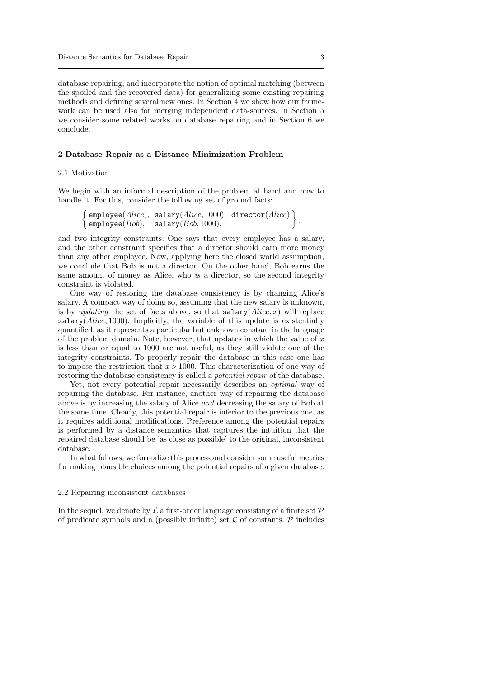database repairing, and incorporate the notion of optimal matching (between the spoiled and the recovered data) for generalizing some existing repairing methods and defining several new ones. In Section 4 we show how our framework can be used also for merging independent data-sources. In Section 5 we consider some related works on database repairing and in Section 6 we conclude.

#### 2 Database Repair as a Distance Minimization Problem

# 2.1 Motivation

We begin with an informal description of the problem at hand and how to handle it. For this, consider the following set of ground facts:

$$
\left\{\begin{array}{l} \texttt{employee}(Alice), \ \texttt{salary}(Alice, 1000), \ \texttt{directory}(Alice) \\ \texttt{employee}(Bob), \ \ \texttt{salary}(Bob, 1000), \end{array}\right\},
$$

and two integrity constraints: One says that every employee has a salary, and the other constraint specifies that a director should earn more money than any other employee. Now, applying here the closed world assumption, we conclude that Bob is not a director. On the other hand, Bob earns the same amount of money as Alice, who is a director, so the second integrity constraint is violated.

One way of restoring the database consistency is by changing Alice's salary. A compact way of doing so, assuming that the new salary is unknown, is by *updating* the set of facts above, so that  $\texttt{salary}(Alice, x)$  will replace  $s$ alary( $Alice$ , 1000). Implicitly, the variable of this update is existentially quantified, as it represents a particular but unknown constant in the language of the problem domain. Note, however, that updates in which the value of  $x$ is less than or equal to 1000 are not useful, as they still violate one of the integrity constraints. To properly repair the database in this case one has to impose the restriction that  $x > 1000$ . This characterization of one way of restoring the database consistency is called a potential repair of the database.

Yet, not every potential repair necessarily describes an optimal way of repairing the database. For instance, another way of repairing the database above is by increasing the salary of Alice and decreasing the salary of Bob at the same time. Clearly, this potential repair is inferior to the previous one, as it requires additional modifications. Preference among the potential repairs is performed by a distance semantics that captures the intuition that the repaired database should be 'as close as possible' to the original, inconsistent database.

In what follows, we formalize this process and consider some useful metrics for making plausible choices among the potential repairs of a given database.

# 2.2 Repairing inconsistent databases

In the sequel, we denote by  $\mathcal L$  a first-order language consisting of a finite set  $\mathcal P$ of predicate symbols and a (possibly infinite) set  $\mathfrak C$  of constants.  $\mathcal P$  includes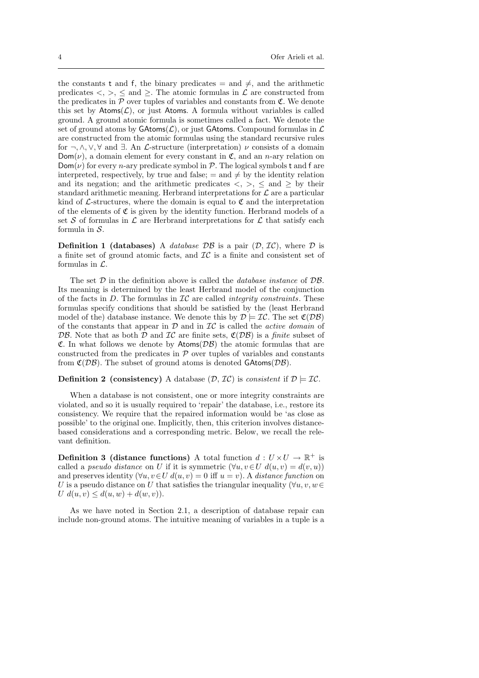the constants t and f, the binary predicates = and  $\neq$ , and the arithmetic predicates  $\langle , \rangle$ ,  $\leq$  and  $\geq$ . The atomic formulas in  $\mathcal L$  are constructed from the predicates in  $P$  over tuples of variables and constants from  $\mathfrak{C}$ . We denote this set by  $\text{Atoms}(\mathcal{L})$ , or just Atoms. A formula without variables is called ground. A ground atomic formula is sometimes called a fact. We denote the set of ground atoms by  $\mathsf{GAtoms}(\mathcal{L})$ , or just  $\mathsf{GAtoms}$ . Compound formulas in  $\mathcal L$ are constructed from the atomic formulas using the standard recursive rules for  $\neg, \wedge, \vee, \forall$  and  $\exists$ . An *L*-structure (interpretation)  $\nu$  consists of a domain  $Dom(\nu)$ , a domain element for every constant in  $\mathfrak{C}$ , and an *n*-ary relation on  $Dom(\nu)$  for every *n*-ary predicate symbol in  $\mathcal{P}$ . The logical symbols t and f are interpreted, respectively, by true and false;  $=$  and  $\neq$  by the identity relation and its negation; and the arithmetic predicates  $\langle , \rangle$ ,  $\leq$  and  $\geq$  by their standard arithmetic meaning. Herbrand interpretations for  $\mathcal L$  are a particular kind of  $\mathcal{L}\text{-structures, where the domain is equal to } \mathfrak{C}$  and the interpretation of the elements of  $\mathfrak C$  is given by the identity function. Herbrand models of a set S of formulas in  $\mathcal L$  are Herbrand interpretations for  $\mathcal L$  that satisfy each formula in  $S$ .

**Definition 1 (databases)** A *database*  $\mathcal{DB}$  is a pair  $(\mathcal{D}, \mathcal{IC})$ , where  $\mathcal D$  is a finite set of ground atomic facts, and  $\mathcal{IC}$  is a finite and consistent set of formulas in  $\mathcal{L}$ .

The set  $D$  in the definition above is called the *database instance* of  $\mathcal{DB}$ . Its meaning is determined by the least Herbrand model of the conjunction of the facts in  $D$ . The formulas in  $IC$  are called *integrity constraints*. These formulas specify conditions that should be satisfied by the (least Herbrand model of the) database instance. We denote this by  $\mathcal{D} \models \mathcal{IC}$ . The set  $\mathfrak{C}(\mathcal{DB})$ of the constants that appear in  $\mathcal D$  and in  $\mathcal{IC}$  is called the *active domain* of DB. Note that as both D and IC are finite sets,  $\mathfrak{C}(DB)$  is a *finite* subset of **C.** In what follows we denote by  $\mathsf{Atoms}(\mathcal{DB})$  the atomic formulas that are constructed from the predicates in  $P$  over tuples of variables and constants from  $\mathfrak{C}(\mathcal{DB})$ . The subset of ground atoms is denoted GAtoms( $\mathcal{DB}$ ).

#### **Definition 2** (consistency) A database  $(\mathcal{D}, \mathcal{IC})$  is consistent if  $\mathcal{D} \models \mathcal{IC}$ .

When a database is not consistent, one or more integrity constraints are violated, and so it is usually required to 'repair' the database, i.e., restore its consistency. We require that the repaired information would be 'as close as possible' to the original one. Implicitly, then, this criterion involves distancebased considerations and a corresponding metric. Below, we recall the relevant definition.

**Definition 3 (distance functions)** A total function  $d: U \times U \rightarrow \mathbb{R}^+$  is called a pseudo distance on U if it is symmetric  $(\forall u, v \in U \ d(u, v) = d(v, u))$ and preserves identity  $(\forall u, v \in U \, d(u, v) = 0 \text{ iff } u = v)$ . A distance function on U is a pseudo distance on U that satisfies the triangular inequality  $(\forall u, v, w \in$  $U d(u, v) \leq d(u, w) + d(w, v)$ .

As we have noted in Section 2.1, a description of database repair can include non-ground atoms. The intuitive meaning of variables in a tuple is a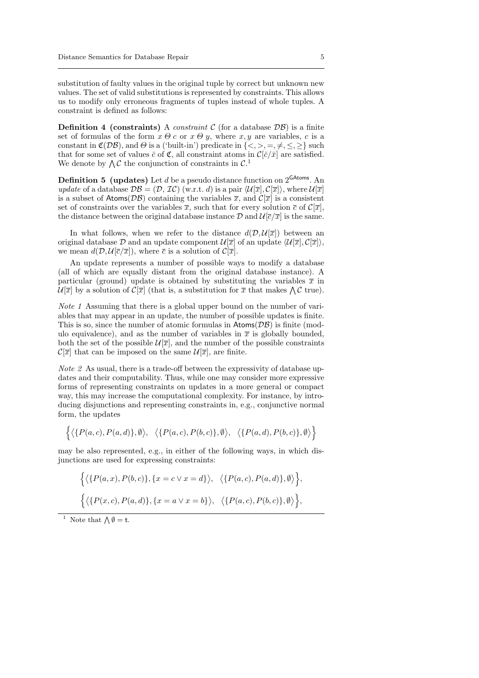substitution of faulty values in the original tuple by correct but unknown new values. The set of valid substitutions is represented by constraints. This allows us to modify only erroneous fragments of tuples instead of whole tuples. A constraint is defined as follows:

**Definition 4 (constraints)** A *constraint*  $C$  (for a database  $D\mathcal{B}$ ) is a finite set of formulas of the form  $x \theta c$  or  $x \theta y$ , where  $x, y$  are variables, c is a constant in  $\mathfrak{C}(DB)$ , and  $\Theta$  is a ('built-in') predicate in  $\{<,>,=,\neq,\leq,\geq\}$  such that for some set of values  $\bar{c}$  of  $\mathfrak{C}$ , all constraint atoms in  $\mathcal{C}[\bar{c}/\bar{x}]$  are satisfied. We denote by  $\bigwedge \mathcal{C}$  the conjunction of constraints in  $\mathcal{C}^1$ .

**Definition 5** (updates) Let d be a pseudo distance function on  $2^{GAtoms}$ . An update of a database  $\mathcal{DB} = (\mathcal{D}, \mathcal{IC})$  (w.r.t. d) is a pair  $\langle \mathcal{U}[\overline{x}], \mathcal{C}[\overline{x}]\rangle$ , where  $\mathcal{U}[\overline{x}]$ is a subset of Atoms( $\mathcal{DB}$ ) containing the variables  $\overline{x}$ , and  $\mathcal{C}[\overline{x}]$  is a consistent set of constraints over the variables  $\overline{x}$ , such that for every solution  $\overline{c}$  of  $\mathcal{C}[\overline{x}]$ , the distance between the original database instance  $\mathcal{D}$  and  $\mathcal{U}[\overline{c}/\overline{x}]$  is the same.

In what follows, when we refer to the distance  $d(\mathcal{D}, \mathcal{U}[\overline{x}])$  between an original database  $\mathcal D$  and an update component  $\mathcal{U}[\overline{x}]$  of an update  $\langle \mathcal{U}[\overline{x}], \mathcal{C}[\overline{x}]\rangle$ , we mean  $d(D, U[\overline{c}/\overline{x}])$ , where  $\overline{c}$  is a solution of  $\mathcal{C}[\overline{x}]$ .

An update represents a number of possible ways to modify a database (all of which are equally distant from the original database instance). A particular (ground) update is obtained by substituting the variables  $\bar{x}$  in  $\mathcal{U}[\overline{x}]$  by a solution of  $\mathcal{C}[\overline{x}]$  (that is, a substitution for  $\overline{x}$  that makes  $\bigwedge \mathcal{C}$  true).

Note 1 Assuming that there is a global upper bound on the number of variables that may appear in an update, the number of possible updates is finite. This is so, since the number of atomic formulas in  $\text{Atoms}(\mathcal{DB})$  is finite (modulo equivalence), and as the number of variables in  $\bar{x}$  is globally bounded, both the set of the possible  $\mathcal{U}[\overline{x}]$ , and the number of the possible constraints  $\mathcal{C}[\overline{x}]$  that can be imposed on the same  $\mathcal{U}[\overline{x}]$ , are finite.

Note 2 As usual, there is a trade-off between the expressivity of database updates and their computability. Thus, while one may consider more expressive forms of representing constraints on updates in a more general or compact way, this may increase the computational complexity. For instance, by introducing disjunctions and representing constraints in, e.g., conjunctive normal form, the updates

$$
\left\{ \langle \{P(a,c), P(a,d)\}, \emptyset \rangle, \ \langle \{P(a,c), P(b,c)\}, \emptyset \rangle, \ \langle \{P(a,d), P(b,c)\}, \emptyset \rangle \right\}
$$

may be also represented, e.g., in either of the following ways, in which disjunctions are used for expressing constraints:

$$
\begin{aligned}\n\Big\{\langle \{P(a,x), P(b,c)\}, \{x=c \vee x=d\} \rangle, \ \ \langle \{P(a,c), P(a,d)\}, \emptyset \rangle \Big\}, \\
\Big\{\langle \{P(x,c), P(a,d)\}, \{x=a \vee x=b\} \rangle, \ \ \langle \{P(a,c), P(b,c)\}, \emptyset \rangle \Big\},\n\end{aligned}
$$

<sup>1</sup> Note that  $\bigwedge \emptyset = \mathsf{t}$ .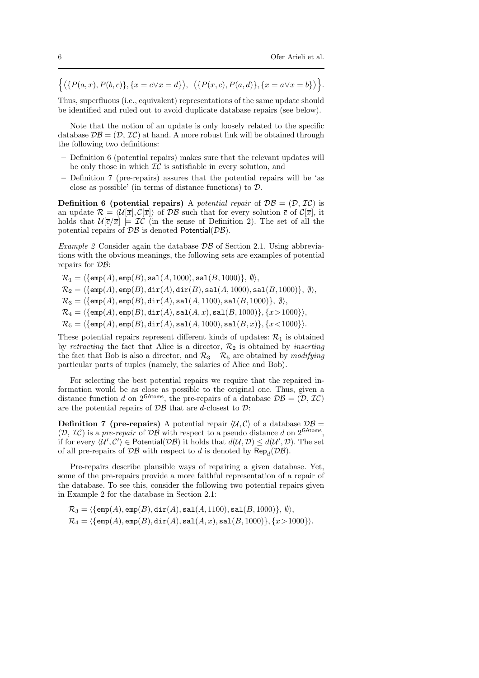$$
\Big\{ \langle \{P(a,x), P(b,c)\}, \{x=c\vee x=d\} \rangle, \ \ \langle \{P(x,c), P(a,d)\}, \{x=a\vee x=b\} \rangle \Big\}.
$$

Thus, superfluous (i.e., equivalent) representations of the same update should be identified and ruled out to avoid duplicate database repairs (see below).

Note that the notion of an update is only loosely related to the specific database  $\mathcal{DB} = (\mathcal{D}, \mathcal{IC})$  at hand. A more robust link will be obtained through the following two definitions:

- Definition 6 (potential repairs) makes sure that the relevant updates will be only those in which  $IC$  is satisfiable in every solution, and
- Definition 7 (pre-repairs) assures that the potential repairs will be 'as close as possible' (in terms of distance functions) to D.

**Definition 6 (potential repairs)** A potential repair of  $\mathcal{DB} = (\mathcal{D}, \mathcal{IC})$  is an update  $\mathcal{R} = \langle \mathcal{U}[\overline{x}], \mathcal{C}[\overline{x}] \rangle$  of  $\mathcal{DB}$  such that for every solution  $\overline{c}$  of  $\mathcal{C}[\overline{x}]$ , it holds that  $\mathcal{U}[\overline{c}/\overline{x}] \models \mathcal{IC}$  (in the sense of Definition 2). The set of all the potential repairs of  $\mathcal{DB}$  is denoted Potential( $\mathcal{DB}$ ).

Example 2 Consider again the database  $\mathcal{DB}$  of Section 2.1. Using abbreviations with the obvious meanings, the following sets are examples of potential repairs for DB:

$$
\begin{aligned} &\mathcal{R}_1 = \langle \{ \text{emp}(A), \text{emp}(B), \text{sal}(A, 1000), \text{sal}(B, 1000) \}, \, \emptyset \rangle, \\ &\mathcal{R}_2 = \langle \{ \text{emp}(A), \text{emp}(B), \text{dir}(A), \text{dir}(B), \text{sal}(A, 1000), \text{sal}(B, 1000) \}, \, \emptyset \rangle, \\ &\mathcal{R}_3 = \langle \{ \text{emp}(A), \text{emp}(B), \text{dir}(A), \text{sal}(A, 1100), \text{sal}(B, 1000) \}, \, \emptyset \rangle, \\ &\mathcal{R}_4 = \langle \{ \text{emp}(A), \text{emp}(B), \text{dir}(A), \text{sal}(A, x), \text{sal}(B, 1000) \}, \{ x > 1000 \} \rangle, \\ &\mathcal{R}_5 = \langle \{ \text{emp}(A), \text{emp}(B), \text{dir}(A), \text{sal}(A, 1000), \text{sal}(B, x) \}, \{ x < 1000 \} \rangle. \end{aligned}
$$

These potential repairs represent different kinds of updates:  $\mathcal{R}_1$  is obtained by retracting the fact that Alice is a director,  $\mathcal{R}_2$  is obtained by inserting the fact that Bob is also a director, and  $\mathcal{R}_3 - \mathcal{R}_5$  are obtained by modifying particular parts of tuples (namely, the salaries of Alice and Bob).

For selecting the best potential repairs we require that the repaired information would be as close as possible to the original one. Thus, given a distance function d on 2<sup>GAtoms</sup>, the pre-repairs of a database  $\mathcal{DB} = (\mathcal{D}, \mathcal{IC})$ are the potential repairs of  $\mathcal{DB}$  that are d-closest to  $\mathcal{D}$ :

**Definition 7 (pre-repairs)** A potential repair  $\langle U, C \rangle$  of a database  $\mathcal{DB} =$  $(D, \mathcal{IC})$  is a pre-repair of  $\overline{DB}$  with respect to a pseudo distance d on 2<sup>GAtoms</sup>, if for every  $\langle \mathcal{U}', \mathcal{C}'\rangle \in \mathsf{Potential}(\mathcal{DB})$  it holds that  $d(\mathcal{U}, \mathcal{D}) \leq d(\mathcal{U}', \mathcal{D})$ . The set of all pre-repairs of  $\mathcal{DB}$  with respect to d is denoted by  $\mathsf{Rep}_d(\mathcal{DB})$ .

Pre-repairs describe plausible ways of repairing a given database. Yet, some of the pre-repairs provide a more faithful representation of a repair of the database. To see this, consider the following two potential repairs given in Example 2 for the database in Section 2.1:

$$
\mathcal{R}_3 = \langle \{ \text{emp}(A), \text{emp}(B), \text{dir}(A), \text{sal}(A,1100), \text{sal}(B,1000) \}, \emptyset \rangle, \\ \mathcal{R}_4 = \langle \{ \text{emp}(A), \text{emp}(B), \text{dir}(A), \text{sal}(A,x), \text{sal}(B,1000) \}, \{x > 1000 \} \rangle.
$$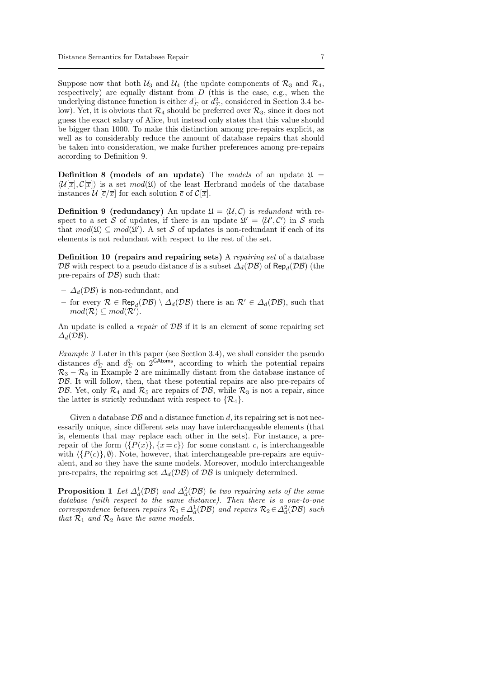Suppose now that both  $\mathcal{U}_3$  and  $\mathcal{U}_4$  (the update components of  $\mathcal{R}_3$  and  $\mathcal{R}_4$ , respectively) are equally distant from  $D$  (this is the case, e.g., when the underlying distance function is either  $d_{\Sigma}^1$  or  $d_{\Sigma}^2$ , considered in Section 3.4 below). Yet, it is obvious that  $\mathcal{R}_4$  should be preferred over  $\mathcal{R}_3$ , since it does not guess the exact salary of Alice, but instead only states that this value should be bigger than 1000. To make this distinction among pre-repairs explicit, as well as to considerably reduce the amount of database repairs that should be taken into consideration, we make further preferences among pre-repairs according to Definition 9.

Definition 8 (models of an update) The models of an update  $\mathfrak{U} =$  $\langle \mathcal{U}[\overline{x}], \mathcal{C}[\overline{x}] \rangle$  is a set  $mod(\mathfrak{U})$  of the least Herbrand models of the database instances  $\mathcal{U}\left[\overline{c}/\overline{x}\right]$  for each solution  $\overline{c}$  of  $\mathcal{C}[\overline{x}]$ .

**Definition 9 (redundancy)** An update  $\mathfrak{U} = \langle \mathcal{U}, \mathcal{C} \rangle$  is redundant with respect to a set S of updates, if there is an update  $\mathfrak{U}' = \langle \mathcal{U}', \mathcal{C}' \rangle$  in S such that  $mod(\mathfrak{U}) \subseteq mod(\mathfrak{U}')$ . A set S of updates is non-redundant if each of its elements is not redundant with respect to the rest of the set.

Definition 10 (repairs and repairing sets) A repairing set of a database  $\mathcal{DB}$  with respect to a pseudo distance  $d$  is a subset  $\varDelta_d(\mathcal{DB})$  of  $\mathsf{Rep}_d(\mathcal{DB})$  (the pre-repairs of  $\mathcal{DB}$ ) such that:

- $\Delta_d(D\mathcal{B})$  is non-redundant, and
- for every  $\mathcal{R}$  ∈ Rep<sub>d</sub>( $\mathcal{DB}$ ) \  $\Delta_d(\mathcal{DB})$  there is an  $\mathcal{R}' \in \Delta_d(\mathcal{DB})$ , such that  $mod(\mathcal{R}) \subseteq mod(\mathcal{R}^r).$

An update is called a repair of  $\mathcal{DB}$  if it is an element of some repairing set  $\Delta_d(DB)$ .

Example 3 Later in this paper (see Section 3.4), we shall consider the pseudo distances  $d_{\Sigma}^1$  and  $d_{\Sigma}^2$  on 2<sup>GAtoms</sup>, according to which the potential repairs  $\mathcal{R}_3 - \mathcal{R}_5$  in Example 2 are minimally distant from the database instance of DB. It will follow, then, that these potential repairs are also pre-repairs of DB. Yet, only  $\mathcal{R}_4$  and  $\mathcal{R}_5$  are repairs of DB, while  $\mathcal{R}_3$  is not a repair, since the latter is strictly redundant with respect to  $\{\mathcal{R}_4\}.$ 

Given a database  $\mathcal{DB}$  and a distance function d, its repairing set is not necessarily unique, since different sets may have interchangeable elements (that is, elements that may replace each other in the sets). For instance, a prerepair of the form  $\langle {P(x)}, {x = c} \rangle$  for some constant c, is interchangeable with  $\langle {P(c)}, \emptyset \rangle$ . Note, however, that interchangeable pre-repairs are equivalent, and so they have the same models. Moreover, modulo interchangeable pre-repairs, the repairing set  $\Delta_d(\mathcal{DB})$  of  $\mathcal{DB}$  is uniquely determined.

**Proposition 1** Let  $\Delta_d^1(\mathcal{DB})$  and  $\Delta_d^2(\mathcal{DB})$  be two repairing sets of the same database (with respect to the same distance). Then there is a one-to-one correspondence between repairs  $\mathcal{R}_1 \in \Delta_d^1(\mathcal{DB})$  and repairs  $\mathcal{R}_2 \in \Delta_d^2(\mathcal{DB})$  such that  $\mathcal{R}_1$  and  $\mathcal{R}_2$  have the same models.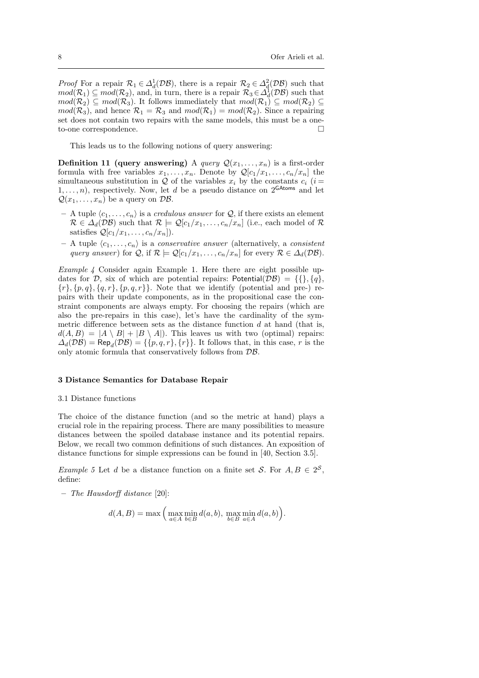*Proof* For a repair  $\mathcal{R}_1 \in \Delta_d^1(\mathcal{DB})$ , there is a repair  $\mathcal{R}_2 \in \Delta_d^2(\mathcal{DB})$  such that  $mod(\mathcal{R}_1) \subseteq mod(\mathcal{R}_2)$ , and, in turn, there is a repair  $\mathcal{R}_3 \in \Delta_d^{\mathbb{I}}(\mathcal{DB})$  such that  $mod(\mathcal{R}_2) \subseteq mod(\mathcal{R}_3)$ . It follows immediately that  $mod(\mathcal{R}_1) \subseteq mod(\mathcal{R}_2) \subseteq$  $mod(\mathcal{R}_3)$ , and hence  $\mathcal{R}_1 = \mathcal{R}_3$  and  $mod(\mathcal{R}_1) = mod(\mathcal{R}_2)$ . Since a repairing set does not contain two repairs with the same models, this must be a oneto-one correspondence.

This leads us to the following notions of query answering:

**Definition 11 (query answering)** A *query*  $Q(x_1, \ldots, x_n)$  is a first-order formula with free variables  $x_1, \ldots, x_n$ . Denote by  $\mathcal{Q}[c_1/x_1, \ldots, c_n/x_n]$  the simultaneous substitution in Q of the variables  $x_i$  by the constants  $c_i$  (i =  $1, \ldots, n$ , respectively. Now, let d be a pseudo distance on  $2^{\text{GAtoms}}$  and let  $\mathcal{Q}(x_1, \ldots, x_n)$  be a query on  $\mathcal{DB}$ .

- A tuple  $\langle c_1, \ldots, c_n \rangle$  is a *credulous answer* for  $\mathcal{Q}$ , if there exists an element  $\mathcal{R} \in \Delta_d(\mathcal{DB})$  such that  $\mathcal{R} \models \mathcal{Q}[c_1/x_1,\ldots,c_n/x_n]$  (i.e., each model of  $\mathcal{R}$ satisfies  $\mathcal{Q}[c_1/x_1,\ldots,c_n/x_n]$ .
- A tuple  $\langle c_1, \ldots, c_n \rangle$  is a *conservative answer* (alternatively, a *consistent* query answer) for Q, if  $\mathcal{R} \models \mathcal{Q}[c_1/x_1,\ldots,c_n/x_n]$  for every  $\mathcal{R} \in \Delta_d(\mathcal{DB})$ .

Example  $\ddot{A}$  Consider again Example 1. Here there are eight possible updates for D, six of which are potential repairs: Potential( $\mathcal{DB}$ ) = {{}, {q},  ${r}, {p, q}, {q, r}, {p, q, r}.$  Note that we identify (potential and pre-) repairs with their update components, as in the propositional case the constraint components are always empty. For choosing the repairs (which are also the pre-repairs in this case), let's have the cardinality of the symmetric difference between sets as the distance function  $d$  at hand (that is,  $d(A, B) = |A \setminus B| + |B \setminus A|$ . This leaves us with two (optimal) repairs:  $\Delta_d(\mathcal{DB}) = \mathsf{Rep}_d(\mathcal{DB}) = \{\{p, q, r\}, \{r\}\}\.$  It follows that, in this case, r is the only atomic formula that conservatively follows from DB.

# 3 Distance Semantics for Database Repair

#### 3.1 Distance functions

The choice of the distance function (and so the metric at hand) plays a crucial role in the repairing process. There are many possibilities to measure distances between the spoiled database instance and its potential repairs. Below, we recall two common definitions of such distances. An exposition of distance functions for simple expressions can be found in [40, Section 3.5].

*Example 5* Let *d* be a distance function on a finite set *S*. For  $A, B \in 2^S$ , define:

– The Hausdorff distance [20]:

$$
d(A, B) = \max \Big( \max_{a \in A} \min_{b \in B} d(a, b), \max_{b \in B} \min_{a \in A} d(a, b) \Big).
$$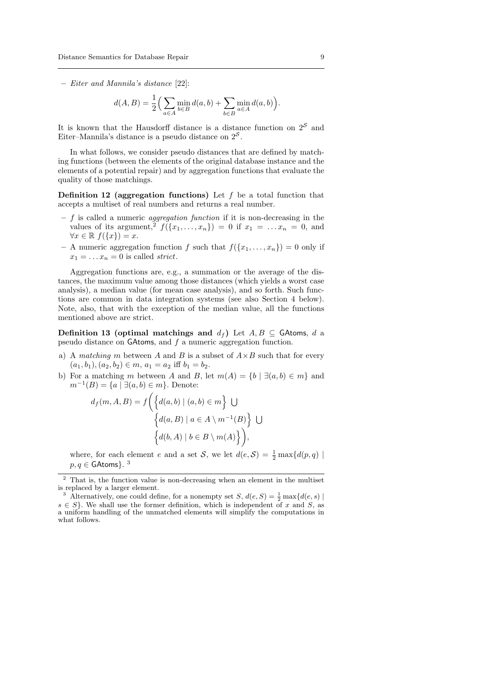– Eiter and Mannila's distance [22]:

$$
d(A, B) = \frac{1}{2} \Big( \sum_{a \in A} \min_{b \in B} d(a, b) + \sum_{b \in B} \min_{a \in A} d(a, b) \Big).
$$

It is known that the Hausdorff distance is a distance function on  $2<sup>S</sup>$  and Eiter–Mannila's distance is a pseudo distance on  $2^{\mathcal{S}}$ .

In what follows, we consider pseudo distances that are defined by matching functions (between the elements of the original database instance and the elements of a potential repair) and by aggregation functions that evaluate the quality of those matchings.

**Definition 12** (aggregation functions) Let  $f$  be a total function that accepts a multiset of real numbers and returns a real number.

- $f$  is called a numeric *aggregation function* if it is non-decreasing in the values of its argument,<sup>2</sup>  $f(\lbrace x_1,\ldots,x_n \rbrace) = 0$  if  $x_1 = \ldots x_n = 0$ , and  $\forall x \in \mathbb{R}$   $f(\lbrace x \rbrace) = x$ .
- A numeric aggregation function f such that  $f(\{x_1, \ldots, x_n\}) = 0$  only if  $x_1 = \ldots x_n = 0$  is called *strict*.

Aggregation functions are, e.g., a summation or the average of the distances, the maximum value among those distances (which yields a worst case analysis), a median value (for mean case analysis), and so forth. Such functions are common in data integration systems (see also Section 4 below). Note, also, that with the exception of the median value, all the functions mentioned above are strict.

Definition 13 (optimal matchings and  $d_f$ ) Let  $A, B \subseteq$  GAtoms, d a pseudo distance on GAtoms, and f a numeric aggregation function.

- a) A matching m between A and B is a subset of  $A \times B$  such that for every  $(a_1, b_1), (a_2, b_2) \in m, a_1 = a_2$  iff  $b_1 = b_2$ .
- b) For a matching m between A and B, let  $m(A) = \{b \mid \exists (a, b) \in m\}$  and  $m^{-1}(B) = \{a \mid \exists (a, b) \in m\}.$  Denote:

$$
d_f(m, A, B) = f\left(\left\{d(a, b) \mid (a, b) \in m\right\} \bigcup \left\{d(a, B) \mid a \in A \setminus m^{-1}(B)\right\} \bigcup \left\{d(b, A) \mid b \in B \setminus m(A)\right\}\right),
$$

where, for each element e and a set S, we let  $d(e, S) = \frac{1}{2} \max\{d(p, q) \mid$  $p,q\in$  GAtoms}.  $^3$ 

<sup>&</sup>lt;sup>2</sup> That is, the function value is non-decreasing when an element in the multiset is replaced by a larger element.

<sup>&</sup>lt;sup>3</sup> Alternatively, one could define, for a nonempty set S,  $d(e, S) = \frac{1}{2} \max\{d(e, s) \mid$  $s \in S$ . We shall use the former definition, which is independent of x and S, as a uniform handling of the unmatched elements will simplify the computations in what follows.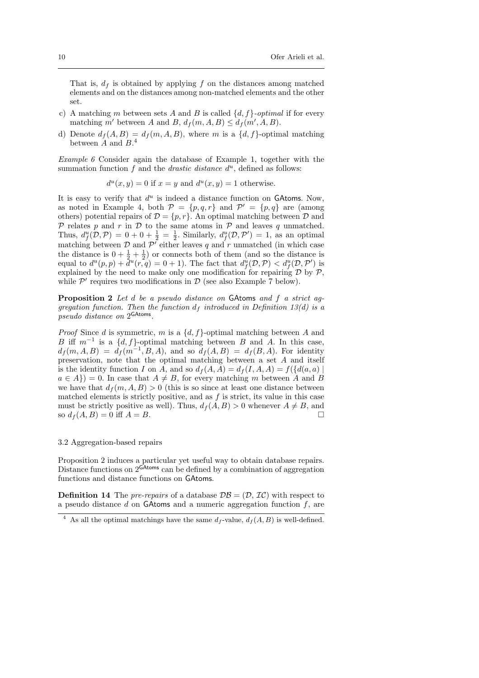That is,  $d_f$  is obtained by applying f on the distances among matched elements and on the distances among non-matched elements and the other set.

- c) A matching m between sets A and B is called  $\{d, f\}$ -optimal if for every matching m' between A and B,  $d_f(m, A, B) \leq d_f(m', A, B)$ .
- d) Denote  $d_f(A, B) = d_f(m, A, B)$ , where m is a  $\{d, f\}$ -optimal matching between  $\tilde{A}$  and  $B$ <sup>4</sup>

Example 6 Consider again the database of Example 1, together with the summation function  $f$  and the *drastic distance*  $d^u$ , defined as follows:

$$
d^{u}(x, y) = 0
$$
 if  $x = y$  and  $d^{u}(x, y) = 1$  otherwise.

It is easy to verify that  $d^u$  is indeed a distance function on GAtoms. Now, as noted in Example 4, both  $P = \{p,q,r\}$  and  $P' = \{p,q\}$  are (among others) potential repairs of  $\mathcal{D} = \{p, r\}$ . An optimal matching between  $\mathcal{D}$  and  $P$  relates p and r in D to the same atoms in P and leaves q unmatched. Thus,  $d_f^u(D, \mathcal{P}) = 0 + 0 + \frac{1}{2} = \frac{1}{2}$ . Similarly,  $d_f^u(D, \mathcal{P}') = 1$ , as an optimal matching between  $\mathcal D$  and  $\mathcal P'$  either leaves q and r unmatched (in which case the distance is  $0 + \frac{1}{2} + \frac{1}{2}$  or connects both of them (and so the distance is equal to  $d^u(p,p) + \tilde{d}^u(r, q) = 0 + 1$ ). The fact that  $d_f^{\tilde{u}}(\mathcal{D}, \mathcal{P}) < d_f^u(\mathcal{D}, \mathcal{P}')$  is explained by the need to make only one modification for repairing  $D$  by  $P$ , while  $\mathcal{P}'$  requires two modifications in  $\mathcal{D}$  (see also Example 7 below).

Proposition 2 Let d be a pseudo distance on GAtoms and f a strict aggregation function. Then the function  $d_f$  introduced in Definition 13(d) is a pseudo distance on 2 GAtoms .

*Proof* Since d is symmetric, m is a  $\{d, f\}$ -optimal matching between A and B iff  $m^{-1}$  is a  $\{d, f\}$ -optimal matching between B and A. In this case,  $d_f(m, A, B) = d_f(m^{-1}, B, A)$ , and so  $d_f(A, B) = d_f(B, A)$ . For identity preservation, note that the optimal matching between a set A and itself is the identity function I on A, and so  $d_f(A, A) = d_f(I, A, A) = f({d(a, a)})$  $a \in A$ ) = 0. In case that  $A \neq B$ , for every matching m between A and B we have that  $d_f(m, A, B) > 0$  (this is so since at least one distance between matched elements is strictly positive, and as  $f$  is strict, its value in this case must be strictly positive as well). Thus,  $d_f(A, B) > 0$  whenever  $A \neq B$ , and so  $d_f(A, B) = 0$  iff  $A = B$ .

#### 3.2 Aggregation-based repairs

Proposition 2 induces a particular yet useful way to obtain database repairs. Distance functions on  $2^{GAtoms}$  can be defined by a combination of aggregation functions and distance functions on GAtoms.

**Definition 14** The pre-repairs of a database  $\mathcal{DB} = (\mathcal{D}, \mathcal{IC})$  with respect to a pseudo distance  $d$  on GAtoms and a numeric aggregation function  $f$ , are

<sup>&</sup>lt;sup>4</sup> As all the optimal matchings have the same  $d_f$ -value,  $d_f(A, B)$  is well-defined.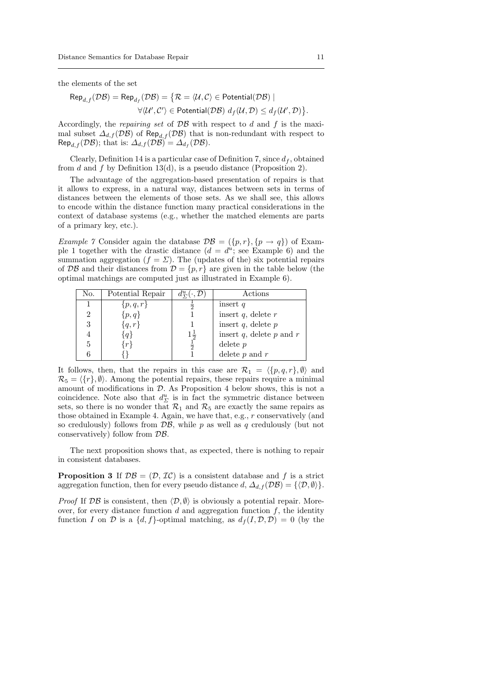the elements of the set

$$
\mathsf{Rep}_{d,f}(\mathcal{DB}) = \mathsf{Rep}_{d_f}(\mathcal{DB}) = \{ \mathcal{R} = \langle \mathcal{U}, \mathcal{C} \rangle \in \mathsf{Potential}(\mathcal{DB}) \mid
$$
  

$$
\forall \langle \mathcal{U}', \mathcal{C}' \rangle \in \mathsf{Potential}(\mathcal{DB}) \ d_f(\mathcal{U}, \mathcal{D}) \le d_f(\mathcal{U}', \mathcal{D}) \}
$$

Accordingly, the *repairing set* of  $\mathcal{DB}$  with respect to  $d$  and  $f$  is the maximal subset  $\Delta_{d,f}(\mathcal{DB})$  of Rep<sub>d,f</sub> (DB) that is non-redundant with respect to  $\mathsf{Rep}_{d,f}(\mathcal{DB});$  that is:  $\Delta_{d,f}(\mathcal{DB}) = \Delta_{d_f}(\mathcal{DB}).$ 

Clearly, Definition 14 is a particular case of Definition 7, since  $d_f$ , obtained from d and f by Definition 13(d), is a pseudo distance (Proposition 2).

The advantage of the aggregation-based presentation of repairs is that it allows to express, in a natural way, distances between sets in terms of distances between the elements of those sets. As we shall see, this allows to encode within the distance function many practical considerations in the context of database systems (e.g., whether the matched elements are parts of a primary key, etc.).

Example 7 Consider again the database  $\mathcal{DB} = (\{p, r\}, \{p \to q\})$  of Example 1 together with the drastic distance  $(d = d^u;$  see Example 6) and the summation aggregation ( $f = \Sigma$ ). The (updates of the) six potential repairs of DB and their distances from  $\mathcal{D} = \{p, r\}$  are given in the table below (the optimal matchings are computed just as illustrated in Example 6).

| No. | Potential Repair | $d^u_{\nabla}(\cdot, \mathcal{D})$ | Actions                         |
|-----|------------------|------------------------------------|---------------------------------|
|     | $\{p,q,r\}$      |                                    | insert $q$                      |
| 2   | $\{p,q\}$        |                                    | insert $q$ , delete $r$         |
| 3   | $\{q,r\}$        |                                    | insert $q$ , delete $p$         |
|     | q                | $1\frac{1}{2}$                     | insert $q$ , delete $p$ and $r$ |
| 5   | r                | $\frac{1}{2}$                      | delete $p$                      |
|     |                  |                                    | delete $p$ and $r$              |

It follows, then, that the repairs in this case are  $\mathcal{R}_1 = \langle \{p, q, r\}, \emptyset \rangle$  and  $\mathcal{R}_5 = \langle \{r\}, \emptyset \rangle$ . Among the potential repairs, these repairs require a minimal amount of modifications in  $D$ . As Proposition 4 below shows, this is not a coincidence. Note also that  $d_{\Sigma}^{u}$  is in fact the symmetric distance between sets, so there is no wonder that  $\mathcal{R}_1$  and  $\mathcal{R}_5$  are exactly the same repairs as those obtained in Example 4. Again, we have that, e.g., r conservatively (and so credulously) follows from  $\mathcal{DB}$ , while p as well as q credulously (but not conservatively) follow from DB.

The next proposition shows that, as expected, there is nothing to repair in consistent databases.

**Proposition 3** If  $\mathcal{DB} = (\mathcal{D}, \mathcal{IC})$  is a consistent database and f is a strict aggregation function, then for every pseudo distance  $d, \Delta_{d,f}(\mathcal{DB}) = {\langle \langle \mathcal{D}, \emptyset \rangle \rangle}.$ 

*Proof* If  $\mathcal{DB}$  is consistent, then  $\langle \mathcal{D}, \emptyset \rangle$  is obviously a potential repair. Moreover, for every distance function  $d$  and aggregation function  $f$ , the identity function I on D is a  $\{d, f\}$ -optimal matching, as  $d_f (I, \mathcal{D}, \mathcal{D}) = 0$  (by the

.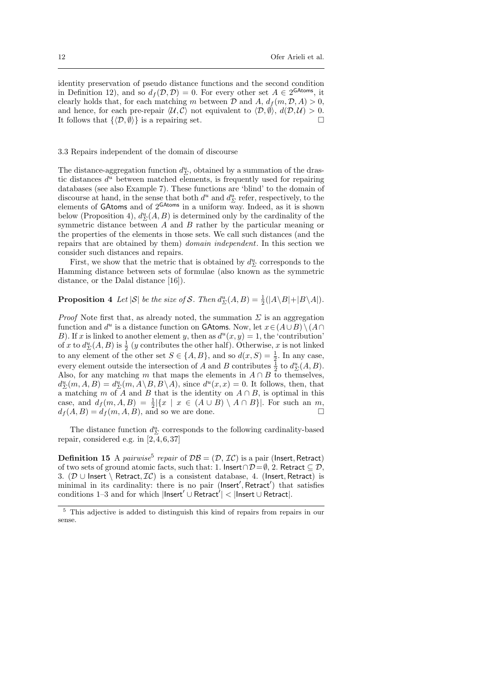identity preservation of pseudo distance functions and the second condition in Definition 12), and so  $d_f(\mathcal{D}, \mathcal{D}) = 0$ . For every other set  $A \in 2^{\text{GAtoms}}$ , it clearly holds that, for each matching m between  $\mathcal D$  and  $A, d_f(m, \mathcal D, A) > 0$ , and hence, for each pre-repair  $\langle U, C \rangle$  not equivalent to  $\langle \mathcal{D}, \emptyset \rangle$ ,  $d(\mathcal{D}, \mathcal{U}) > 0$ . It follows that  $\{\langle \mathcal{D}, \emptyset \rangle\}$  is a repairing set.

#### 3.3 Repairs independent of the domain of discourse

The distance-aggregation function  $d_{\Sigma}^u$ , obtained by a summation of the drastic distances  $d^u$  between matched elements, is frequently used for repairing databases (see also Example 7). These functions are 'blind' to the domain of discourse at hand, in the sense that both  $d^u$  and  $d^u_{\Sigma}$  refer, respectively, to the elements of GAtoms and of  $2^{GAtoms}$  in a uniform way. Indeed, as it is shown below (Proposition 4),  $d_{\Sigma}^{u}(A, B)$  is determined only by the cardinality of the symmetric distance between  $A$  and  $B$  rather by the particular meaning or the properties of the elements in those sets. We call such distances (and the repairs that are obtained by them) domain independent. In this section we consider such distances and repairs.

First, we show that the metric that is obtained by  $d_{\Sigma}^{u}$  corresponds to the Hamming distance between sets of formulae (also known as the symmetric distance, or the Dalal distance [16]).

# **Proposition 4** Let  $|S|$  be the size of S. Then  $d_{\Sigma}^u(A, B) = \frac{1}{2}(|A \setminus B| + |B \setminus A|)$ .

*Proof* Note first that, as already noted, the summation  $\Sigma$  is an aggregation function and  $d^u$  is a distance function on GAtoms. Now, let  $x \in (A \cup B) \setminus (A \cap B)$ B). If x is linked to another element y, then as  $d^{u}(x, y) = 1$ , the 'contribution' of x to  $d_{\Sigma}^{u}(A, B)$  is  $\frac{1}{2}$  (y contributes the other half). Otherwise, x is not linked to any element of the other set  $S \in \{A, B\}$ , and so  $d(x, S) = \frac{1}{2}$ . In any case, every element outside the intersection of A and B contributes  $\frac{1}{2}$  to  $d_{\Sigma}^{u}(A, B)$ . Also, for any matching m that maps the elements in  $A \cap B$  to themselves,  $d_{\Sigma}^{u}(m, A, B) = d_{\Sigma}^{u}(m, A \setminus B, B \setminus A)$ , since  $d^{u}(x, x) = 0$ . It follows, then, that a matching m of A and B that is the identity on  $A \cap B$ , is optimal in this case, and  $d_f(m, A, B) = \frac{1}{2} |\{x \mid x \in (A \cup B) \setminus A \cap B\}|$ . For such an  $m$ ,  $d_f(A, B) = d_f(m, A, B)$ , and so we are done.

The distance function  $d^u_{\Sigma}$  corresponds to the following cardinality-based repair, considered e.g. in [2,4,6,37]

**Definition 15** A pairwise<sup>5</sup> repair of  $DB = (D, \mathcal{IC})$  is a pair (Insert, Retract) of two sets of ground atomic facts, such that: 1. Insert∩ $\mathcal{D} = \emptyset$ , 2. Retract  $\subseteq \mathcal{D}$ , 3. ( $\mathcal{D}$  ∪ Insert \ Retract,  $\mathcal{IC}$ ) is a consistent database, 4. (Insert, Retract) is minimal in its cardinality: there is no pair (lnsert', Retract') that satisfies conditions 1–3 and for which  $|{\sf Insert'} \cup {\sf<sub>}| < |{\sf Insert} \cup {\sf Referact}|</sub>$ .</sub>

<sup>5</sup> This adjective is added to distinguish this kind of repairs from repairs in our sense.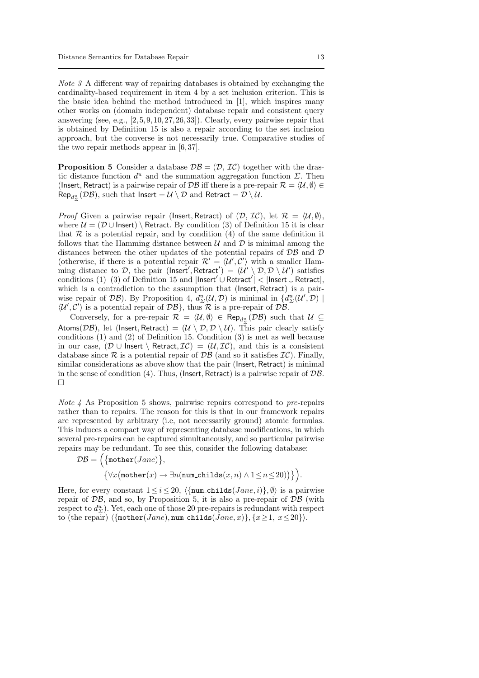Note 3 A different way of repairing databases is obtained by exchanging the cardinality-based requirement in item 4 by a set inclusion criterion. This is the basic idea behind the method introduced in [1], which inspires many other works on (domain independent) database repair and consistent query answering (see, e.g., [2,5,9,10,27,26,33]). Clearly, every pairwise repair that is obtained by Definition 15 is also a repair according to the set inclusion approach, but the converse is not necessarily true. Comparative studies of the two repair methods appear in [6,37].

**Proposition 5** Consider a database  $\mathcal{DB} = (\mathcal{D}, \mathcal{IC})$  together with the drastic distance function  $d^u$  and the summation aggregation function  $\Sigma$ . Then (Insert, Retract) is a pairwise repair of  $\mathcal{DB}$  iff there is a pre-repair  $\mathcal{R} = \langle \mathcal{U}, \emptyset \rangle \in$  $\mathsf{Rep}_{d^u_{\Sigma}}(\mathcal{DB}),$  such that  $\mathsf{Insert} = \mathcal{U} \setminus \mathcal{D} \text{ and Retract} = \mathcal{D} \setminus \mathcal{U}.$ 

*Proof* Given a pairwise repair (Insert, Retract) of  $(D, \mathcal{IC})$ , let  $\mathcal{R} = \langle \mathcal{U}, \emptyset \rangle$ , where  $U = (\mathcal{D} \cup \text{Insert})$  Retract. By condition (3) of Definition 15 it is clear that  $R$  is a potential repair, and by condition  $(4)$  of the same definition it follows that the Hamming distance between  $\mathcal U$  and  $\mathcal D$  is minimal among the distances between the other updates of the potential repairs of  $\mathcal{DB}$  and  $\mathcal D$ (otherwise, if there is a potential repair  $\mathcal{R}' = \langle \mathcal{U}', \mathcal{C}' \rangle$  with a smaller Hamming distance to D, the pair (lnsert', Retract') =  $(\mathcal{U}' \setminus \mathcal{D}, \mathcal{D} \setminus \mathcal{U}')$  satisfies  $\text{conditions} \; (1)-(3) \; \text{of} \; \text{Definition} \; 15 \; \text{and} \; |\text{Insert}' \cup \text{Retract}'| < |\text{Insert} \cup \text{Retract}|,$ which is a contradiction to the assumption that (Insert, Retract) is a pairwise repair of  $\mathcal{DB}$ ). By Proposition 4,  $d_{\Sigma}^u(\mathcal{U}, \mathcal{D})$  is minimal in  $\{d_{\Sigma}^u(\mathcal{U}', \mathcal{D})\mid$  $\langle U', C' \rangle$  is a potential repair of  $\mathcal{DB}$ , thus  $\mathcal R$  is a pre-repair of  $\mathcal{DB}$ .

Conversely, for a pre-repair  $\mathcal{R} = \langle \mathcal{U}, \emptyset \rangle \in \text{Rep}_{d^u_{\Sigma}}(\mathcal{DB})$  such that  $\mathcal{U} \subseteq$ Atoms( $\mathcal{DB}$ ), let (Insert, Retract) =  $(\mathcal{U} \setminus \mathcal{D}, \mathcal{D} \setminus \mathcal{U})$ . This pair clearly satisfy conditions (1) and (2) of Definition 15. Condition (3) is met as well because in our case,  $(D \cup$  Insert \ Retract,  $IC$ ) =  $(U, IC)$ , and this is a consistent database since  $\mathcal R$  is a potential repair of  $\mathcal{DB}$  (and so it satisfies  $\mathcal{IC}$ ). Finally, similar considerations as above show that the pair (Insert, Retract) is minimal in the sense of condition (4). Thus, (Insert, Retract) is a pairwise repair of DB.  $\Box$ 

Note 4 As Proposition 5 shows, pairwise repairs correspond to pre-repairs rather than to repairs. The reason for this is that in our framework repairs are represented by arbitrary (i.e, not necessarily ground) atomic formulas. This induces a compact way of representing database modifications, in which several pre-repairs can be captured simultaneously, and so particular pairwise repairs may be redundant. To see this, consider the following database:

$$
\mathcal{DB} = \Big(\{\texttt{mother}(Jane)\},\
$$

$$
\{\forall x (\texttt{mother}(x) \to \exists n(\texttt{num\_childs}(x, n) \land 1 \le n \le 20))\}\Big).
$$

Here, for every constant  $1 \leq i \leq 20$ ,  $\langle {\text{num\_childs}(Jane, i)}, \emptyset \rangle$  is a pairwise repair of  $\mathcal{DB}$ , and so, by Proposition 5, it is also a pre-repair of  $\mathcal{DB}$  (with respect to  $d_{\Sigma}^u$ ). Yet, each one of those 20 pre-repairs is redundant with respect to (the repair)  $\{\text{mother}(Jane), \text{num\_childs}(Jane, x)\}, \{x \geq 1, x \leq 20\}\$ .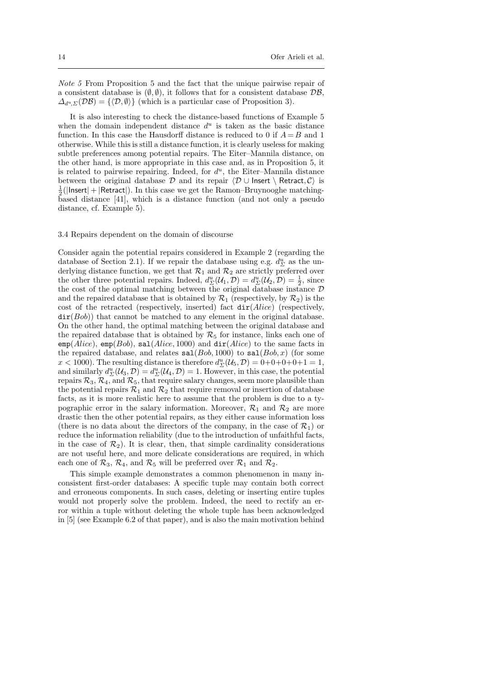Note 5 From Proposition 5 and the fact that the unique pairwise repair of a consistent database is  $(\emptyset, \emptyset)$ , it follows that for a consistent database  $\mathcal{DB}$ ,  $\Delta_{d^u} \Sigma(\mathcal{DB}) = \{ \langle \mathcal{D}, \emptyset \rangle \}$  (which is a particular case of Proposition 3).

It is also interesting to check the distance-based functions of Example 5 when the domain independent distance  $d<sup>u</sup>$  is taken as the basic distance function. In this case the Hausdorff distance is reduced to 0 if  $A = B$  and 1 otherwise. While this is still a distance function, it is clearly useless for making subtle preferences among potential repairs. The Eiter–Mannila distance, on the other hand, is more appropriate in this case and, as in Proposition 5, it is related to pairwise repairing. Indeed, for  $d^u$ , the Eiter-Mannila distance between the original database  $\mathcal D$  and its repair  $\langle \mathcal D \cup$  Insert \ Retract, C is  $\frac{1}{2}$ (|Insert| + |Retract|). In this case we get the Ramon–Bruynooghe matchingbased distance [41], which is a distance function (and not only a pseudo distance, cf. Example 5).

## 3.4 Repairs dependent on the domain of discourse

Consider again the potential repairs considered in Example 2 (regarding the database of Section 2.1). If we repair the database using e.g.  $d_{\Sigma}^{u}$  as the underlying distance function, we get that  $\mathcal{R}_1$  and  $\mathcal{R}_2$  are strictly preferred over the other three potential repairs. Indeed,  $d_{\Sigma}^{u}(\mathcal{U}_{1}, \mathcal{D}) = d_{\Sigma}^{u}(\mathcal{U}_{2}, \mathcal{D}) = \frac{1}{2}$ , since the cost of the optimal matching between the original database instance  $D$ and the repaired database that is obtained by  $\mathcal{R}_1$  (respectively, by  $\mathcal{R}_2$ ) is the cost of the retracted (respectively, inserted) fact  $dir(Alice)$  (respectively,  $\text{dir}(Bob)$ ) that cannot be matched to any element in the original database. On the other hand, the optimal matching between the original database and the repaired database that is obtained by  $\mathcal{R}_5$  for instance, links each one of  $emp(Alice)$ ,  $emp(Bob)$ ,  $sal(Alice, 1000)$  and  $dir(Alice)$  to the same facts in the repaired database, and relates  $\text{sal}(Bob, 1000)$  to  $\text{sal}(Bob, x)$  (for some  $x < 1000$ ). The resulting distance is therefore  $d_{\Sigma}^{u}(\mathcal{U}_{5}, \mathcal{D}) = 0+0+0+0+1 = 1$ , and similarly  $d_{\Sigma}^{u}(\mathcal{U}_3, \mathcal{D}) = d_{\Sigma}^{u}(\mathcal{U}_4, \mathcal{D}) = 1$ . However, in this case, the potential repairs  $\mathcal{R}_3$ ,  $\mathcal{R}_4$ , and  $\mathcal{R}_5$ , that require salary changes, seem more plausible than the potential repairs  $\mathcal{R}_1$  and  $\mathcal{R}_2$  that require removal or insertion of database facts, as it is more realistic here to assume that the problem is due to a typographic error in the salary information. Moreover,  $\mathcal{R}_1$  and  $\mathcal{R}_2$  are more drastic then the other potential repairs, as they either cause information loss (there is no data about the directors of the company, in the case of  $\mathcal{R}_1$ ) or reduce the information reliability (due to the introduction of unfaithful facts, in the case of  $\mathcal{R}_2$ ). It is clear, then, that simple cardinality considerations are not useful here, and more delicate considerations are required, in which each one of  $\mathcal{R}_3$ ,  $\mathcal{R}_4$ , and  $\mathcal{R}_5$  will be preferred over  $\mathcal{R}_1$  and  $\mathcal{R}_2$ .

This simple example demonstrates a common phenomenon in many inconsistent first-order databases: A specific tuple may contain both correct and erroneous components. In such cases, deleting or inserting entire tuples would not properly solve the problem. Indeed, the need to rectify an error within a tuple without deleting the whole tuple has been acknowledged in [5] (see Example 6.2 of that paper), and is also the main motivation behind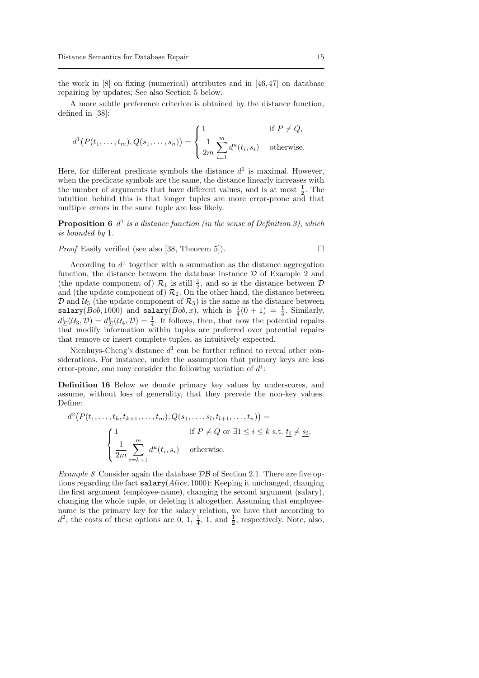the work in [8] on fixing (numerical) attributes and in [46,47] on database repairing by updates; See also Section 5 below.

A more subtle preference criterion is obtained by the distance function, defined in [38]:

$$
d^{1}(P(t_1,\ldots,t_m),Q(s_1,\ldots,s_n)) = \begin{cases} 1 & \text{if } P \neq Q, \\ \frac{1}{2m} \sum_{i=1}^{m} d^{u}(t_i,s_i) & \text{otherwise.} \end{cases}
$$

Here, for different predicate symbols the distance  $d^1$  is maximal. However, when the predicate symbols are the same, the distance linearly increases with the number of arguments that have different values, and is at most  $\frac{1}{2}$ . The intuition behind this is that longer tuples are more error-prone and that multiple errors in the same tuple are less likely.

**Proposition 6**  $d^1$  is a distance function (in the sense of Definition 3), which is bounded by 1.

*Proof* Easily verified (see also [38, Theorem 5]).  $\Box$ 

$$
\Box
$$

According to  $d<sup>1</sup>$  together with a summation as the distance aggregation function, the distance between the database instance  $D$  of Example 2 and (the update component of)  $\mathcal{R}_1$  is still  $\frac{1}{2}$ , and so is the distance between  $\mathcal D$ and (the update component of)  $\mathcal{R}_2$ . On the other hand, the distance between  $\mathcal{D}$  and  $\mathcal{U}_5$  (the update component of  $\mathcal{R}_5$ ) is the same as the distance between salary(*Bob*, 1000) and salary(*Bob*, x), which is  $\frac{1}{4}(0+1) = \frac{1}{4}$ . Similarly,  $d_{\Sigma}^{1}(\mathcal{U}_{3},\mathcal{D})=d_{\Sigma}^{1}(\mathcal{U}_{4},\mathcal{D})=\frac{1}{4}$ . It follows, then, that now the potential repairs that modify information within tuples are preferred over potential repairs that remove or insert complete tuples, as intuitively expected.

Nienhuys-Cheng's distance  $d^1$  can be further refined to reveal other considerations. For instance, under the assumption that primary keys are less error-prone, one may consider the following variation of  $d^1$ :

Definition 16 Below we denote primary key values by underscores, and assume, without loss of generality, that they precede the non-key values. Define:

$$
d^2(P(\underbrace{t_1,\ldots,t_k}_{1},t_{k+1},\ldots,t_m),Q(\underbrace{s_1,\ldots,s_l}_{1},t_{l+1},\ldots,t_n)) =
$$
  
\n
$$
\begin{cases}\n1 & \text{if } P \neq Q \text{ or } \exists 1 \leq i \leq k \text{ s.t. } \underbrace{t_i \neq s_i}_{2m}, \\
\frac{1}{2m} \sum_{i=k+1}^m d^u(t_i,s_i) & \text{otherwise.} \n\end{cases}
$$

Example 8 Consider again the database  $\mathcal{DB}$  of Section 2.1. There are five options regarding the fact  $\text{salary}(Alice, 1000)$ : Keeping it unchanged, changing the first argument (employee-name), changing the second argument (salary), changing the whole tuple, or deleting it altogether. Assuming that employeename is the primary key for the salary relation, we have that according to  $d^2$ , the costs of these options are 0, 1,  $\frac{1}{4}$ , 1, and  $\frac{1}{2}$ , respectively. Note, also,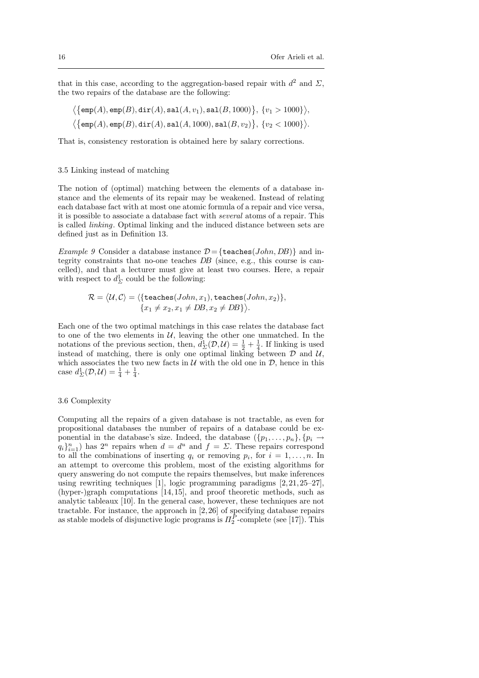that in this case, according to the aggregation-based repair with  $d^2$  and  $\Sigma$ , the two repairs of the database are the following:

$$
\langle \{\texttt{emp}(A), \texttt{emp}(B), \texttt{dir}(A), \texttt{sal}(A, v_1), \texttt{sal}(B, 1000)\}, \{v_1 > 1000\} \rangle, \\ \langle \{\texttt{emp}(A), \texttt{emp}(B), \texttt{dir}(A), \texttt{sal}(A, 1000), \texttt{sal}(B, v_2)\}, \{v_2 < 1000\} \rangle.
$$

That is, consistency restoration is obtained here by salary corrections.

#### 3.5 Linking instead of matching

The notion of (optimal) matching between the elements of a database instance and the elements of its repair may be weakened. Instead of relating each database fact with at most one atomic formula of a repair and vice versa, it is possible to associate a database fact with several atoms of a repair. This is called linking. Optimal linking and the induced distance between sets are defined just as in Definition 13.

*Example 9* Consider a database instance  $\mathcal{D} = \{\texttt{teaches}(John, DB)\}\$  and integrity constraints that no-one teaches DB (since, e.g., this course is cancelled), and that a lecturer must give at least two courses. Here, a repair with respect to  $d_{\Sigma}^1$  could be the following:

$$
\mathcal{R} = \langle \mathcal{U}, \mathcal{C} \rangle = \langle \{\texttt{teaches}(John, x_1), \texttt{teaches}(John, x_2)\}, \\ \{x_1 \neq x_2, x_1 \neq DB, x_2 \neq DB\} \rangle.
$$

Each one of the two optimal matchings in this case relates the database fact to one of the two elements in  $U$ , leaving the other one unmatched. In the notations of the previous section, then,  $d_{\Sigma}^{1}(\mathcal{D}, \mathcal{U}) = \frac{1}{2} + \frac{1}{4}$ . If linking is used instead of matching, there is only one optimal linking between  $D$  and  $U$ , which associates the two new facts in  $U$  with the old one in  $D$ , hence in this case  $d_{\Sigma}^{1}(\mathcal{D}, \mathcal{U}) = \frac{1}{4} + \frac{1}{4}.$ 

# 3.6 Complexity

Computing all the repairs of a given database is not tractable, as even for propositional databases the number of repairs of a database could be exponential in the database's size. Indeed, the database  $({p_1, \ldots, p_n}, {p_i \rightarrow p_i})$  $q_i}_{i=1}^n$ ) has  $2^n$  repairs when  $d = d^u$  and  $f = \Sigma$ . These repairs correspond to all the combinations of inserting  $q_i$  or removing  $p_i$ , for  $i = 1, \ldots, n$ . In an attempt to overcome this problem, most of the existing algorithms for query answering do not compute the repairs themselves, but make inferences using rewriting techniques [1], logic programming paradigms [2,21,25–27], (hyper-)graph computations [14,15], and proof theoretic methods, such as analytic tableaux [10]. In the general case, however, these techniques are not tractable. For instance, the approach in [2,26] of specifying database repairs as stable models of disjunctive logic programs is  $\Pi_2^P$ -complete (see [17]). This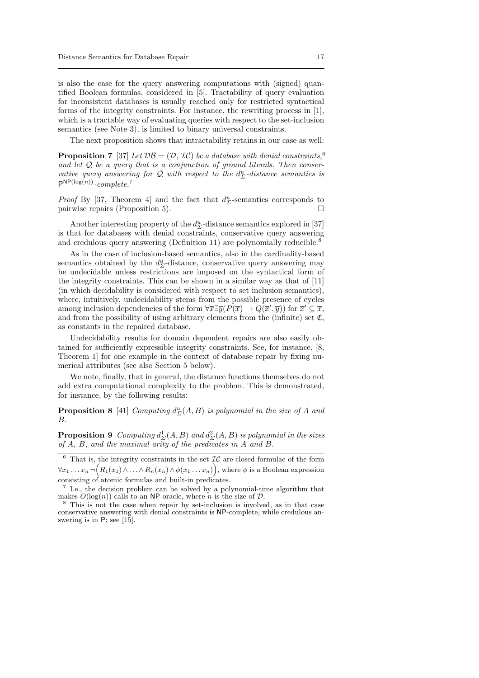is also the case for the query answering computations with (signed) quantified Boolean formulas, considered in [5]. Tractability of query evaluation for inconsistent databases is usually reached only for restricted syntactical forms of the integrity constraints. For instance, the rewriting process in [1], which is a tractable way of evaluating queries with respect to the set-inclusion semantics (see Note 3), is limited to binary universal constraints.

The next proposition shows that intractability retains in our case as well:

**Proposition 7** [37] Let  $\mathcal{DB} = (\mathcal{D}, \mathcal{IC})$  be a database with denial constraints, <sup>6</sup> and let  $Q$  be a query that is a conjunction of ground literals. Then conservative query answering for  $Q$  with respect to the  $d_{\Sigma}^u$ -distance semantics is  $P^{NP(log(n))}$ -complete.<sup>7</sup>

*Proof* By [37, Theorem 4] and the fact that  $d_{\Sigma}^u$ -semantics corresponds to pairwise repairs (Proposition 5).

Another interesting property of the  $d_{\Sigma}^u\text{-distance semantics explored in }[37]$ is that for databases with denial constraints, conservative query answering and credulous query answering (Definition 11) are polynomially reducible.<sup>8</sup>

As in the case of inclusion-based semantics, also in the cardinality-based semantics obtained by the  $d_{\Sigma}^u$ -distance, conservative query answering may be undecidable unless restrictions are imposed on the syntactical form of the integrity constraints. This can be shown in a similar way as that of [11] (in which decidability is considered with respect to set inclusion semantics), where, intuitively, undecidability stems from the possible presence of cycles among inclusion dependencies of the form  $\forall \overline{x} \exists \overline{y}(P(\overline{x}) \to Q(\overline{x}', \overline{y}))$  for  $\overline{x}' \subseteq \overline{x}$ , and from the possibility of using arbitrary elements from the (infinite) set  $\mathfrak{C}$ , as constants in the repaired database.

Undecidability results for domain dependent repairs are also easily obtained for sufficiently expressible integrity constraints. See, for instance, [8, Theorem 1] for one example in the context of database repair by fixing numerical attributes (see also Section 5 below).

We note, finally, that in general, the distance functions themselves do not add extra computational complexity to the problem. This is demonstrated, for instance, by the following results:

**Proposition 8** [41] Computing  $d_{\Sigma}^{u}(A, B)$  is polynomial in the size of A and B.

**Proposition 9** Computing  $d_{\Sigma}^1(A, B)$  and  $d_{\Sigma}^2(A, B)$  is polynomial in the sizes of A, B, and the maximal arity of the predicates in A and B.

 $6$  That is, the integrity constraints in the set  $IC$  are closed formulae of the form  $\forall \overline{x}_1 \ldots \overline{x}_n \neg \big( R_1(\overline{x}_1) \wedge \ldots \wedge R_n(\overline{x}_n) \wedge \phi(\overline{x}_1 \ldots \overline{x}_n) \big),$  where  $\phi$  is a Boolean expression consisting of atomic formulas and built-in predicates. 7

I.e., the decision problem can be solved by a polynomial-time algorithm that makes  $O(\log(n))$  calls to an NP-oracle, where n is the size of D.

<sup>8</sup> This is not the case when repair by set-inclusion is involved, as in that case conservative answering with denial constraints is NP-complete, while credulous answering is in P; see [15].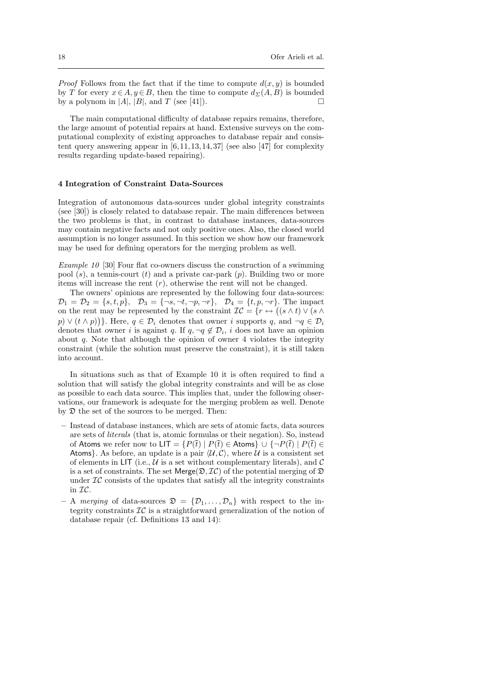*Proof* Follows from the fact that if the time to compute  $d(x, y)$  is bounded by T for every  $x \in A, y \in B$ , then the time to compute  $d_{\Sigma}(A, B)$  is bounded by a polynom in  $|A|, |B|$ , and T (see [41]).

The main computational difficulty of database repairs remains, therefore, the large amount of potential repairs at hand. Extensive surveys on the computational complexity of existing approaches to database repair and consistent query answering appear in  $[6,11,13,14,37]$  (see also [47] for complexity results regarding update-based repairing).

## 4 Integration of Constraint Data-Sources

Integration of autonomous data-sources under global integrity constraints (see [30]) is closely related to database repair. The main differences between the two problems is that, in contrast to database instances, data-sources may contain negative facts and not only positive ones. Also, the closed world assumption is no longer assumed. In this section we show how our framework may be used for defining operators for the merging problem as well.

Example 10 [30] Four flat co-owners discuss the construction of a swimming pool  $(s)$ , a tennis-court  $(t)$  and a private car-park  $(p)$ . Building two or more items will increase the rent  $(r)$ , otherwise the rent will not be changed.

The owners' opinions are represented by the following four data-sources:  $\mathcal{D}_1 = \mathcal{D}_2 = \{s, t, p\}, \quad \mathcal{D}_3 = \{\neg s, \neg t, \neg p, \neg r\}, \quad \mathcal{D}_4 = \{t, p, \neg r\}.$  The impact on the rent may be represented by the constraint  $\mathcal{IC} = \{r \leftrightarrow ((s \wedge t) \vee (s \wedge t))\}$  $p \mid (p \wedge p)$ . Here,  $q \in \mathcal{D}_i$  denotes that owner i supports q, and  $\neg q \in \mathcal{D}_i$ denotes that owner *i* is against q. If  $q, \neg q \notin \mathcal{D}_i$ , *i* does not have an opinion about  $q$ . Note that although the opinion of owner 4 violates the integrity constraint (while the solution must preserve the constraint), it is still taken into account.

In situations such as that of Example 10 it is often required to find a solution that will satisfy the global integrity constraints and will be as close as possible to each data source. This implies that, under the following observations, our framework is adequate for the merging problem as well. Denote by D the set of the sources to be merged. Then:

- Instead of database instances, which are sets of atomic facts, data sources are sets of literals (that is, atomic formulas or their negation). So, instead of Atoms we refer now to  $LT = {P(\bar{t}) | P(\bar{t}) \in \text{Atoms}} \cup {\neg P(\bar{t}) | P(\bar{t}) \in \text{Trans}}$ Atoms}. As before, an update is a pair  $\langle \mathcal{U}, \mathcal{C} \rangle$ , where U is a consistent set of elements in LIT (i.e.,  $U$  is a set without complementary literals), and  $C$ is a set of constraints. The set  $\mathsf{Merge}(\mathfrak{D},\mathcal{IC})$  of the potential merging of  $\mathfrak D$ under  $I\mathcal{C}$  consists of the updates that satisfy all the integrity constraints in IC.
- A merging of data-sources  $\mathfrak{D} = {\mathcal{D}_1, \ldots, \mathcal{D}_n}$  with respect to the integrity constraints  $\mathcal{IC}$  is a straightforward generalization of the notion of database repair (cf. Definitions 13 and 14):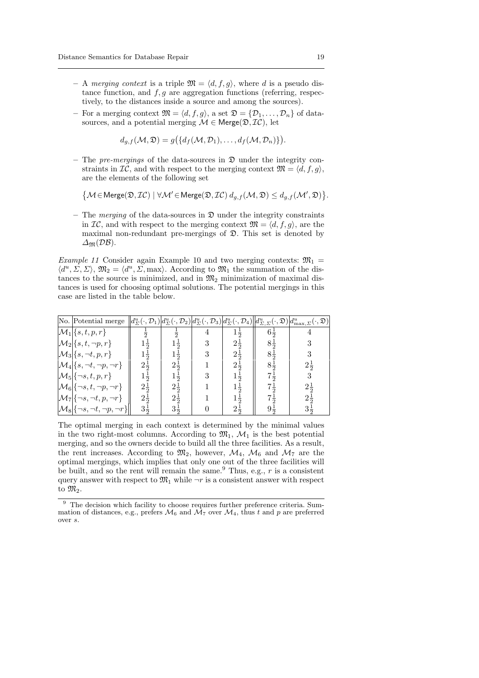- A merging context is a triple  $\mathfrak{M} = \langle d, f, g \rangle$ , where d is a pseudo distance function, and  $f, g$  are aggregation functions (referring, respectively, to the distances inside a source and among the sources).
- For a merging context  $\mathfrak{M} = \langle d, f, g \rangle$ , a set  $\mathfrak{D} = \{ \mathcal{D}_1, \ldots, \mathcal{D}_n \}$  of datasources, and a potential merging  $\mathcal{M} \in \text{Merge}(\mathfrak{D}, \mathcal{IC})$ , let

$$
d_{g,f}(\mathcal{M},\mathfrak{D})=g(\lbrace d_f(\mathcal{M},\mathcal{D}_1),\ldots,d_f(\mathcal{M},\mathcal{D}_n)\rbrace).
$$

– The pre-mergings of the data-sources in  $\mathfrak D$  under the integrity constraints in  $IC$ , and with respect to the merging context  $\mathfrak{M} = \langle d, f, g \rangle$ , are the elements of the following set

 $\{M \in \text{Merge}(\mathfrak{D},\mathcal{IC}) \mid \forall \mathcal{M}' \in \text{Merge}(\mathfrak{D},\mathcal{IC}) d_{g,f}(\mathcal{M},\mathfrak{D}) \leq d_{g,f}(\mathcal{M}',\mathfrak{D})\}.$ 

– The *merging* of the data-sources in  $\mathfrak D$  under the integrity constraints in  $\mathcal{IC}$ , and with respect to the merging context  $\mathfrak{M} = \langle d, f, g \rangle$ , are the maximal non-redundant pre-mergings of D. This set is denoted by  $\Delta_{\mathfrak{M}}(\mathcal{DB})$ .

Example 11 Consider again Example 10 and two merging contexts:  $\mathfrak{M}_1$  =  $\langle d^u, \Sigma, \Sigma \rangle$ ,  $\mathfrak{M}_2 = \langle d^u, \Sigma, \text{max} \rangle$ . According to  $\mathfrak{M}_1$  the summation of the distances to the source is minimized, and in  $\mathfrak{M}_2$  minimization of maximal distances is used for choosing optimal solutions. The potential mergings in this case are listed in the table below.

| No. Potential merge $  d_{\Sigma}^{u}(\cdot,\mathcal{D}_{1}) d_{\Sigma}^{u}(\cdot,\mathcal{D}_{2}) d_{\Sigma}^{u}(\cdot,\mathcal{D}_{3}) d_{\Sigma}^{u}(\cdot,\mathcal{D}_{4})  d_{\Sigma,\Sigma}^{u}(\cdot,\mathfrak{D}) d_{\max,\Sigma}^{u}(\cdot,\mathfrak{D}) $ |                |                |                |                |                |
|---------------------------------------------------------------------------------------------------------------------------------------------------------------------------------------------------------------------------------------------------------------------|----------------|----------------|----------------|----------------|----------------|
| $\mathcal{M}_1$ {s, t, p, r}                                                                                                                                                                                                                                        |                |                | $1\frac{4}{2}$ | $6\frac{1}{2}$ |                |
| $\mathcal{M}_2$ {s, t, ¬p, r}                                                                                                                                                                                                                                       |                |                | $2\frac{1}{2}$ | $8\frac{1}{2}$ |                |
| $\mathcal{M}_3\{s,\neg t,p,r\}$                                                                                                                                                                                                                                     | $1\frac{1}{2}$ |                | $2\frac{1}{2}$ | $8\frac{1}{2}$ |                |
| $\mathcal{M}_4\{s,\neg t,\neg p,\neg r\}$                                                                                                                                                                                                                           | $2\frac{1}{2}$ | $2\frac{1}{2}$ | $2\frac{1}{2}$ | $8\frac{1}{2}$ | $2\frac{1}{2}$ |
| $\mathcal{M}_5\{\neg s,t,p,r\}$                                                                                                                                                                                                                                     | $1\frac{1}{2}$ |                |                | $7\frac{1}{2}$ |                |
| $\mathcal{M}_6$ {¬s, t, ¬p, ¬r}                                                                                                                                                                                                                                     | $2\frac{1}{2}$ | $2\frac{1}{2}$ |                | $7\frac{1}{2}$ | $2\frac{1}{2}$ |
| $\mathcal{M}_7\{\neg s, \neg t, p, \neg r\}$                                                                                                                                                                                                                        | $2\frac{1}{2}$ | $2\frac{1}{2}$ |                | $7\frac{1}{2}$ | $2\frac{1}{2}$ |
| $\mathcal{M}_8$ { $\neg s, \neg t, \neg p, \neg r$ }                                                                                                                                                                                                                | $3\frac{1}{2}$ | $3\frac{1}{2}$ | $2\frac{1}{2}$ | $9\frac{1}{2}$ |                |

The optimal merging in each context is determined by the minimal values in the two right-most columns. According to  $\mathfrak{M}_1$ ,  $\mathcal{M}_1$  is the best potential merging, and so the owners decide to build all the three facilities. As a result, the rent increases. According to  $\mathfrak{M}_2$ , however,  $\mathcal{M}_4$ ,  $\mathcal{M}_6$  and  $\mathcal{M}_7$  are the optimal mergings, which implies that only one out of the three facilities will be built, and so the rent will remain the same.<sup>9</sup> Thus, e.g.,  $r$  is a consistent query answer with respect to  $\mathfrak{M}_1$  while  $\neg r$  is a consistent answer with respect to  $\mathfrak{M}_2$ .

<sup>&</sup>lt;sup>9</sup> The decision which facility to choose requires further preference criteria. Summation of distances, e.g., prefers  $\mathcal{M}_6$  and  $\mathcal{M}_7$  over  $\mathcal{M}_4$ , thus t and p are preferred over s.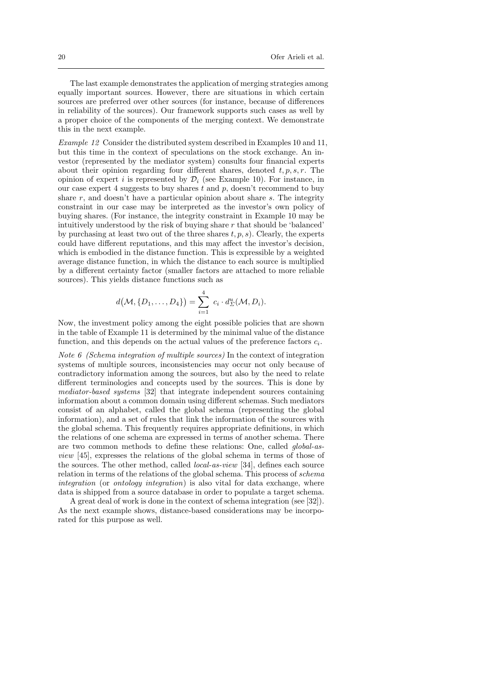The last example demonstrates the application of merging strategies among equally important sources. However, there are situations in which certain sources are preferred over other sources (for instance, because of differences in reliability of the sources). Our framework supports such cases as well by a proper choice of the components of the merging context. We demonstrate this in the next example.

Example 12 Consider the distributed system described in Examples 10 and 11, but this time in the context of speculations on the stock exchange. An investor (represented by the mediator system) consults four financial experts about their opinion regarding four different shares, denoted  $t, p, s, r$ . The opinion of expert i is represented by  $\mathcal{D}_i$  (see Example 10). For instance, in our case expert 4 suggests to buy shares  $t$  and  $p$ , doesn't recommend to buy share  $r$ , and doesn't have a particular opinion about share  $s$ . The integrity constraint in our case may be interpreted as the investor's own policy of buying shares. (For instance, the integrity constraint in Example 10 may be intuitively understood by the risk of buying share  $r$  that should be 'balanced' by purchasing at least two out of the three shares  $t, p, s$ ). Clearly, the experts could have different reputations, and this may affect the investor's decision, which is embodied in the distance function. This is expressible by a weighted average distance function, in which the distance to each source is multiplied by a different certainty factor (smaller factors are attached to more reliable sources). This yields distance functions such as

$$
d(\mathcal{M}, \{D_1, \ldots, D_4\}) = \sum_{i=1}^4 c_i \cdot d_{\Sigma}^u(\mathcal{M}, D_i).
$$

Now, the investment policy among the eight possible policies that are shown in the table of Example 11 is determined by the minimal value of the distance function, and this depends on the actual values of the preference factors  $c_i$ .

Note 6 (Schema integration of multiple sources) In the context of integration systems of multiple sources, inconsistencies may occur not only because of contradictory information among the sources, but also by the need to relate different terminologies and concepts used by the sources. This is done by mediator-based systems [32] that integrate independent sources containing information about a common domain using different schemas. Such mediators consist of an alphabet, called the global schema (representing the global information), and a set of rules that link the information of the sources with the global schema. This frequently requires appropriate definitions, in which the relations of one schema are expressed in terms of another schema. There are two common methods to define these relations: One, called global-asview [45], expresses the relations of the global schema in terms of those of the sources. The other method, called local-as-view [34], defines each source relation in terms of the relations of the global schema. This process of schema integration (or *ontology integration*) is also vital for data exchange, where data is shipped from a source database in order to populate a target schema.

A great deal of work is done in the context of schema integration (see [32]). As the next example shows, distance-based considerations may be incorporated for this purpose as well.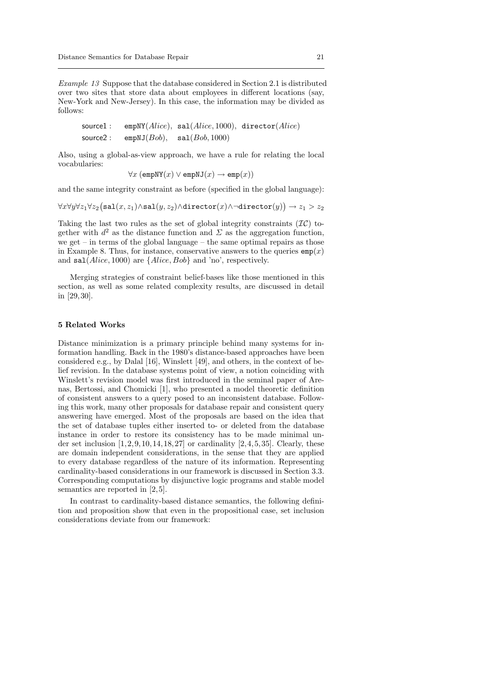Example 13 Suppose that the database considered in Section 2.1 is distributed over two sites that store data about employees in different locations (say, New-York and New-Jersey). In this case, the information may be divided as follows:

$$
\texttt{source1}: \quad \begin{array}{l} \texttt{empty}(Alice), \ \ \texttt{sal}(Alice, 1000), \ \ \texttt{directory}(Alice) \\ \texttt{source2}: \quad \texttt{emptyJ}(Bob), \quad \texttt{sal}(Bob, 1000) \end{array}
$$

Also, using a global-as-view approach, we have a rule for relating the local vocabularies:

$$
\forall x (\text{empNY}(x) \lor \text{empNJ}(x) \to \text{emp}(x))
$$

and the same integrity constraint as before (specified in the global language):

 $\forall x \forall y \forall z_1 \forall z_2 \big(\texttt{sal}(x,z_1) \land \texttt{sal}(y,z_2) \land \texttt{directory}(x) \land \lnot \texttt{directory}(y)\big) \rightarrow z_1 > z_2$ 

Taking the last two rules as the set of global integrity constraints  $(\mathcal{IC})$  together with  $d^2$  as the distance function and  $\Sigma$  as the aggregation function, we get – in terms of the global language – the same optimal repairs as those in Example 8. Thus, for instance, conservative answers to the queries  $\texttt{emp}(x)$ and  $\text{sal}(Alice, 1000)$  are  $\{Alice, Bob\}$  and 'no', respectively.

Merging strategies of constraint belief-bases like those mentioned in this section, as well as some related complexity results, are discussed in detail in [29,30].

### 5 Related Works

Distance minimization is a primary principle behind many systems for information handling. Back in the 1980's distance-based approaches have been considered e.g., by Dalal [16], Winslett [49], and others, in the context of belief revision. In the database systems point of view, a notion coinciding with Winslett's revision model was first introduced in the seminal paper of Arenas, Bertossi, and Chomicki [1], who presented a model theoretic definition of consistent answers to a query posed to an inconsistent database. Following this work, many other proposals for database repair and consistent query answering have emerged. Most of the proposals are based on the idea that the set of database tuples either inserted to- or deleted from the database instance in order to restore its consistency has to be made minimal under set inclusion  $[1,2,9,10,14,18,27]$  or cardinality  $[2,4,5,35]$ . Clearly, these are domain independent considerations, in the sense that they are applied to every database regardless of the nature of its information. Representing cardinality-based considerations in our framework is discussed in Section 3.3. Corresponding computations by disjunctive logic programs and stable model semantics are reported in [2,5].

In contrast to cardinality-based distance semantics, the following definition and proposition show that even in the propositional case, set inclusion considerations deviate from our framework: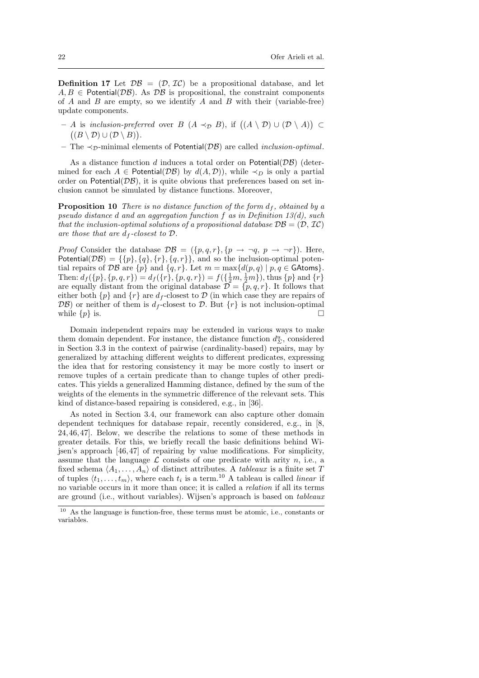**Definition 17** Let  $\mathcal{DB} = (\mathcal{D}, \mathcal{IC})$  be a propositional database, and let  $A, B \in$  Potential( $\mathcal{DB}$ ). As  $\mathcal{DB}$  is propositional, the constraint components of  $A$  and  $B$  are empty, so we identify  $A$  and  $B$  with their (variable-free) update components.

- $-$  A is inclusion-preferred over B (A  $\prec_{\mathcal{D}}$  B), if  $((A \setminus \mathcal{D}) \cup (\mathcal{D} \setminus A))$  ⊂  $((B \setminus D) \cup (D \setminus B)).$
- The  $\prec_{\mathcal{D}}$ -minimal elements of Potential( $\mathcal{D}\mathcal{B}$ ) are called *inclusion-optimal*.

As a distance function d induces a total order on Potential $(\mathcal{DB})$  (determined for each  $A \in$  Potential( $\mathcal{DB}$ ) by  $d(A, \mathcal{D})$ ), while  $\prec_D$  is only a partial order on Potential $(\mathcal{DB})$ , it is quite obvious that preferences based on set inclusion cannot be simulated by distance functions. Moreover,

**Proposition 10** There is no distance function of the form  $d_f$ , obtained by a pseudo distance d and an aggregation function f as in Definition 13(d), such that the inclusion-optimal solutions of a propositional database  $\mathcal{DB} = (\mathcal{D}, \mathcal{IC})$ are those that are  $\tilde{d}_f$ -closest to  $\mathcal{D}$ .

*Proof* Consider the database  $\mathcal{DB} = (\{p, q, r\}, \{p \rightarrow \neg q, p \rightarrow \neg r\})$ . Here, Potential( $\mathcal{DB}$ ) = {{p}, {q}, {r}, {q, r}}, and so the inclusion-optimal potential repairs of  $\mathcal{DB}$  are  $\{p\}$  and  $\{q, r\}$ . Let  $m = \max\{d(p, q) \mid p, q \in \text{GAtoms}\}.$ Then:  $d_f({p}, {p}, q, r) = d_f({r}, {p}, q, r) = f({\frac{1}{2}m, \frac{1}{2}m})$ , thus  ${p}$  and  ${r}$ are equally distant from the original database  $\mathcal{D} = \{p, q, r\}$ . It follows that either both  $\{p\}$  and  $\{r\}$  are  $d_f$ -closest to  $\mathcal D$  (in which case they are repairs of  $\mathcal{DB}$ ) or neither of them is  $d_f$ -closest to  $\mathcal{D}$ . But  $\{r\}$  is not inclusion-optimal while  $\{p\}$  is.

Domain independent repairs may be extended in various ways to make them domain dependent. For instance, the distance function  $d_{\Sigma}^u$ , considered in Section 3.3 in the context of pairwise (cardinality-based) repairs, may by generalized by attaching different weights to different predicates, expressing the idea that for restoring consistency it may be more costly to insert or remove tuples of a certain predicate than to change tuples of other predicates. This yields a generalized Hamming distance, defined by the sum of the weights of the elements in the symmetric difference of the relevant sets. This kind of distance-based repairing is considered, e.g., in [36].

As noted in Section 3.4, our framework can also capture other domain dependent techniques for database repair, recently considered, e.g., in [8, 24,46,47]. Below, we describe the relations to some of these methods in greater details. For this, we briefly recall the basic definitions behind Wijsen's approach [46,47] of repairing by value modifications. For simplicity, assume that the language  $\mathcal L$  consists of one predicate with arity n, i.e., a fixed schema  $\langle A_1, \ldots, A_n \rangle$  of distinct attributes. A *tableaux* is a finite set T of tuples  $\langle t_1, \ldots, t_m \rangle$ , where each  $t_i$  is a term.<sup>10</sup> A tableau is called *linear* if no variable occurs in it more than once; it is called a relation if all its terms are ground (i.e., without variables). Wijsen's approach is based on tableaux

<sup>10</sup> As the language is function-free, these terms must be atomic, i.e., constants or variables.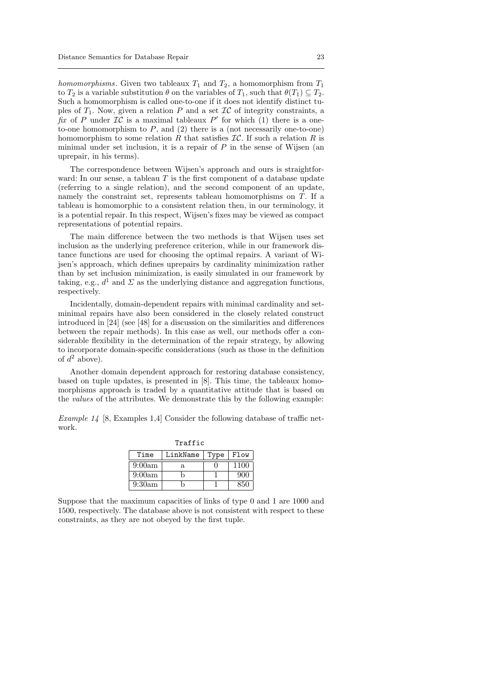homomorphisms. Given two tableaux  $T_1$  and  $T_2$ , a homomorphism from  $T_1$ to  $T_2$  is a variable substitution  $\theta$  on the variables of  $T_1$ , such that  $\theta(T_1) \subseteq T_2$ . Such a homomorphism is called one-to-one if it does not identify distinct tuples of  $T_1$ . Now, given a relation P and a set  $\mathcal{IC}$  of integrity constraints, a fix of P under  $\mathcal{IC}$  is a maximal tableaux P' for which  $(1)$  there is a oneto-one homomorphism to  $P$ , and  $(2)$  there is a (not necessarily one-to-one) homomorphism to some relation R that satisfies  $\mathcal{IC}$ . If such a relation R is minimal under set inclusion, it is a repair of  $P$  in the sense of Wijsen (an uprepair, in his terms).

The correspondence between Wijsen's approach and ours is straightforward: In our sense, a tableau  $T$  is the first component of a database update (referring to a single relation), and the second component of an update, namely the constraint set, represents tableau homomorphisms on T. If a tableau is homomorphic to a consistent relation then, in our terminology, it is a potential repair. In this respect, Wijsen's fixes may be viewed as compact representations of potential repairs.

The main difference between the two methods is that Wijsen uses set inclusion as the underlying preference criterion, while in our framework distance functions are used for choosing the optimal repairs. A variant of Wijsen's approach, which defines uprepairs by cardinality minimization rather than by set inclusion minimization, is easily simulated in our framework by taking, e.g.,  $d^1$  and  $\Sigma$  as the underlying distance and aggregation functions, respectively.

Incidentally, domain-dependent repairs with minimal cardinality and setminimal repairs have also been considered in the closely related construct introduced in [24] (see [48] for a discussion on the similarities and differences between the repair methods). In this case as well, our methods offer a considerable flexibility in the determination of the repair strategy, by allowing to incorporate domain-specific considerations (such as those in the definition of  $d^2$  above).

Another domain dependent approach for restoring database consistency, based on tuple updates, is presented in [8]. This time, the tableaux homomorphisms approach is traded by a quantitative attitude that is based on the values of the attributes. We demonstrate this by the following example:

Example 14 [8, Examples 1,4] Consider the following database of traffic network.

 $T \cdot 2 + 4$ 

| .                |    |      |      |  |  |
|------------------|----|------|------|--|--|
| Time<br>LinkName |    | Type | Flow |  |  |
| 9:00am           | a. |      | 1100 |  |  |
| 9:00am           |    |      | 900  |  |  |
| 9:30am           |    |      |      |  |  |

Suppose that the maximum capacities of links of type 0 and 1 are 1000 and 1500, respectively. The database above is not consistent with respect to these constraints, as they are not obeyed by the first tuple.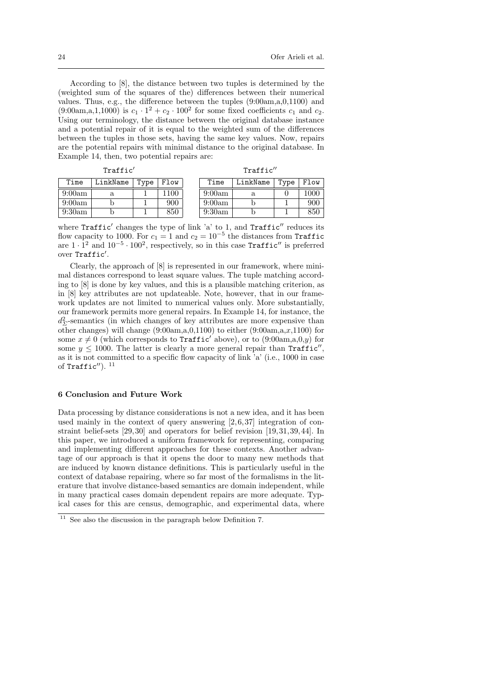According to [8], the distance between two tuples is determined by the (weighted sum of the squares of the) differences between their numerical values. Thus, e.g., the difference between the tuples (9:00am,a,0,1100) and  $(9.00am,a,1,1000)$  is  $c_1 \cdot 1^2 + c_2 \cdot 100^2$  for some fixed coefficients  $c_1$  and  $c_2$ . Using our terminology, the distance between the original database instance and a potential repair of it is equal to the weighted sum of the differences between the tuples in those sets, having the same key values. Now, repairs are the potential repairs with minimal distance to the original database. In Example 14, then, two potential repairs are:

| $\sim$<br>- 1 |
|---------------|
|---------------|

Traffic′′

| Time   | LinkName | Type | Flow | Time   | LinkName | Type | Flow |
|--------|----------|------|------|--------|----------|------|------|
| 9:00am | а        |      | 100  | 9:00am | a        |      | 1000 |
| 9:00am |          |      | 900  | 9:00am |          |      | 900  |
| 9:30am |          |      | 850  | 9:30am |          |      | 850  |

| ıme  | LinkName   Type   Flow |      |
|------|------------------------|------|
| )0am |                        | 1000 |

where Traffic' changes the type of link 'a' to 1, and Traffic'' reduces its flow capacity to 1000. For  $c_1 = 1$  and  $c_2 = 10^{-5}$  the distances from Traffic are  $1 \cdot \hat{1}^2$  and  $10^{-5} \cdot 100^2$ , respectively, so in this case Traffic'' is preferred over Traffic′ .

Clearly, the approach of [8] is represented in our framework, where minimal distances correspond to least square values. The tuple matching according to [8] is done by key values, and this is a plausible matching criterion, as in [8] key attributes are not updateable. Note, however, that in our framework updates are not limited to numerical values only. More substantially, our framework permits more general repairs. In Example 14, for instance, the  $d_{\Sigma}^2$ -semantics (in which changes of key attributes are more expensive than other changes) will change (9:00am,a,0,1100) to either (9:00am,a,x,1100) for some  $x \neq 0$  (which corresponds to Traffic' above), or to (9:00am,a,0,y) for some  $y \le 1000$ . The latter is clearly a more general repair than Traffic'', as it is not committed to a specific flow capacity of link 'a' (i.e., 1000 in case of Traffic'').  $11$ 

## 6 Conclusion and Future Work

Data processing by distance considerations is not a new idea, and it has been used mainly in the context of query answering [2,6,37] integration of constraint belief-sets [29,30] and operators for belief revision [19,31,39,44]. In this paper, we introduced a uniform framework for representing, comparing and implementing different approaches for these contexts. Another advantage of our approach is that it opens the door to many new methods that are induced by known distance definitions. This is particularly useful in the context of database repairing, where so far most of the formalisms in the literature that involve distance-based semantics are domain independent, while in many practical cases domain dependent repairs are more adequate. Typical cases for this are census, demographic, and experimental data, where

 $^{11}\,$  See also the discussion in the paragraph below Definition 7.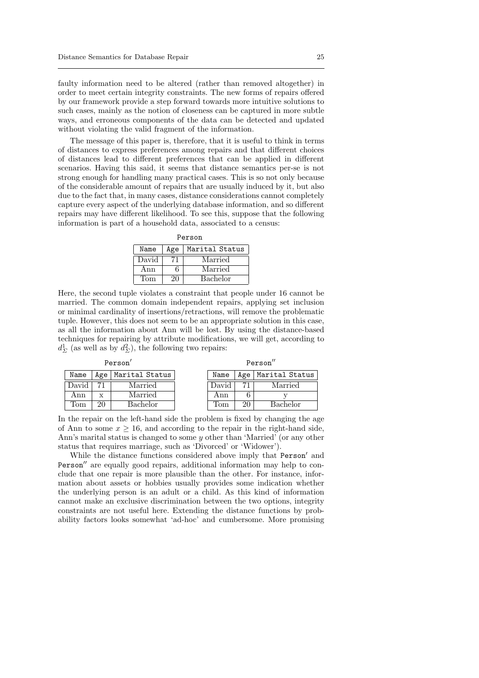faulty information need to be altered (rather than removed altogether) in order to meet certain integrity constraints. The new forms of repairs offered by our framework provide a step forward towards more intuitive solutions to such cases, mainly as the notion of closeness can be captured in more subtle ways, and erroneous components of the data can be detected and updated without violating the valid fragment of the information.

The message of this paper is, therefore, that it is useful to think in terms of distances to express preferences among repairs and that different choices of distances lead to different preferences that can be applied in different scenarios. Having this said, it seems that distance semantics per-se is not strong enough for handling many practical cases. This is so not only because of the considerable amount of repairs that are usually induced by it, but also due to the fact that, in many cases, distance considerations cannot completely capture every aspect of the underlying database information, and so different repairs may have different likelihood. To see this, suppose that the following information is part of a household data, associated to a census:

| Name  | Age | Marital Status |  |  |  |
|-------|-----|----------------|--|--|--|
| David |     | Married        |  |  |  |
| Ann   | 6   | Married        |  |  |  |
| Tom   | 20  | Bachelor       |  |  |  |

Person

Here, the second tuple violates a constraint that people under 16 cannot be married. The common domain independent repairs, applying set inclusion or minimal cardinality of insertions/retractions, will remove the problematic tuple. However, this does not seem to be an appropriate solution in this case, as all the information about Ann will be lost. By using the distance-based techniques for repairing by attribute modifications, we will get, according to  $d_{\Sigma}^{1}$  (as well as by  $d_{\Sigma}^{2}$ ), the following two repairs:

Person′

| Name             | Age   Marital Status |
|------------------|----------------------|
| David            | Married              |
| Ann              | Married              |
| Tom <sup>'</sup> | Bachelor             |

| Name  |    | Age   Marital Status |
|-------|----|----------------------|
| David |    | Married              |
| Ann   |    |                      |
| 'I'om | 20 | Bachelor             |

In the repair on the left-hand side the problem is fixed by changing the age of Ann to some  $x \ge 16$ , and according to the repair in the right-hand side, Ann's marital status is changed to some y other than 'Married' (or any other status that requires marriage, such as 'Divorced' or 'Widower').

While the distance functions considered above imply that Person′ and Person′′ are equally good repairs, additional information may help to conclude that one repair is more plausible than the other. For instance, information about assets or hobbies usually provides some indication whether the underlying person is an adult or a child. As this kind of information cannot make an exclusive discrimination between the two options, integrity constraints are not useful here. Extending the distance functions by probability factors looks somewhat 'ad-hoc' and cumbersome. More promising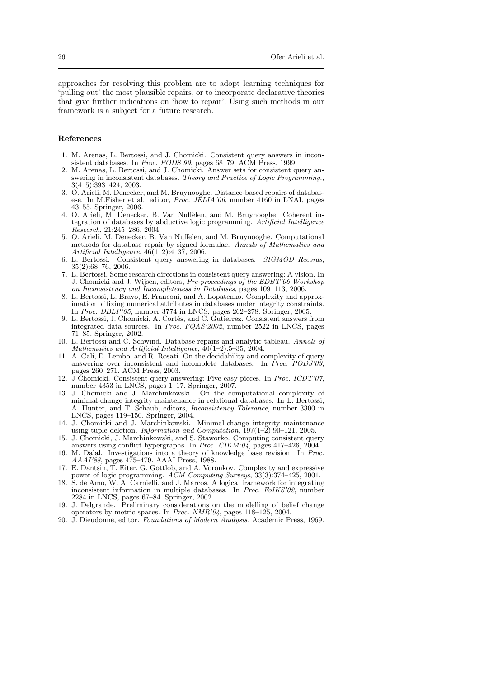approaches for resolving this problem are to adopt learning techniques for 'pulling out' the most plausible repairs, or to incorporate declarative theories that give further indications on 'how to repair'. Using such methods in our framework is a subject for a future research.

# References

- 1. M. Arenas, L. Bertossi, and J. Chomicki. Consistent query answers in inconsistent databases. In Proc. PODS'99, pages 68–79. ACM Press, 1999.
- 2. M. Arenas, L. Bertossi, and J. Chomicki. Answer sets for consistent query answering in inconsistent databases. Theory and Practice of Logic Programming., 3(4–5):393–424, 2003.
- 3. O. Arieli, M. Denecker, and M. Bruynooghe. Distance-based repairs of databasese. In M.Fisher et al., editor, Proc. JELIA'06, number 4160 in LNAI, pages 43–55. Springer, 2006.
- 4. O. Arieli, M. Denecker, B. Van Nuffelen, and M. Bruynooghe. Coherent integration of databases by abductive logic programming. Artificial Intelligence Research, 21:245–286, 2004.
- 5. O. Arieli, M. Denecker, B. Van Nuffelen, and M. Bruynooghe. Computational methods for database repair by signed formulae. Annals of Mathematics and Artificial Intelligence,  $46(1-2):4-37$ , 2006.
- 6. L. Bertossi. Consistent query answering in databases. SIGMOD Records, 35(2):68–76, 2006.
- 7. L. Bertossi. Some research directions in consistent query answering: A vision. In J. Chomicki and J. Wijsen, editors, Pre-proceedings of the EDBT'06 Workshop on Inconsistency and Incompleteness in Databases, pages 109–113, 2006.
- 8. L. Bertossi, L. Bravo, E. Franconi, and A. Lopatenko. Complexity and approximation of fixing numerical attributes in databases under integrity constraints. In Proc. DBLP'05, number 3774 in LNCS, pages 262–278. Springer, 2005.
- 9. L. Bertossi, J. Chomicki, A. Cortés, and C. Gutierrez. Consistent answers from integrated data sources. In Proc. FQAS'2002, number 2522 in LNCS, pages 71–85. Springer, 2002.
- 10. L. Bertossi and C. Schwind. Database repairs and analytic tableau. Annals of Mathematics and Artificial Intelligence,  $40(1-2)$ :5-35, 2004.
- 11. A. Cali, D. Lembo, and R. Rosati. On the decidability and complexity of query answering over inconsistent and incomplete databases. In  $\hat{P}roc$ .  $POD\hat{S}'0\hat{3}$ , pages 260–271. ACM Press, 2003.
- 12. J Chomicki. Consistent query answering: Five easy pieces. In Proc. ICDT'07, number 4353 in LNCS, pages 1–17. Springer, 2007.
- 13. J. Chomicki and J. Marchinkowski. On the computational complexity of minimal-change integrity maintenance in relational databases. In L. Bertossi, A. Hunter, and T. Schaub, editors, Inconsistency Tolerance, number 3300 in LNCS, pages 119–150. Springer, 2004.
- 14. J. Chomicki and J. Marchinkowski. Minimal-change integrity maintenance using tuple deletion. Information and Computation,  $\overline{197(1-2)}$ :90-121, 2005.
- 15. J. Chomicki, J. Marchinkowski, and S. Staworko. Computing consistent query answers using conflict hypergraphs. In Proc. CIKM'04, pages 417–426, 2004.
- 16. M. Dalal. Investigations into a theory of knowledge base revision. In Proc. AAAI'88, pages 475–479. AAAI Press, 1988.
- 17. E. Dantsin, T. Eiter, G. Gottlob, and A. Voronkov. Complexity and expressive power of logic programming. ACM Computing Surveys, 33(3):374–425, 2001.
- 18. S. de Amo, W. A. Carnielli, and J. Marcos. A logical framework for integrating inconsistent information in multiple databases. In Proc. FoIKS'02, number 2284 in LNCS, pages 67–84. Springer, 2002.
- 19. J. Delgrande. Preliminary considerations on the modelling of belief change operators by metric spaces. In Proc. NMR'04, pages 118–125, 2004.
- 20. J. Dieudonné, editor. Foundations of Modern Analysis. Academic Press, 1969.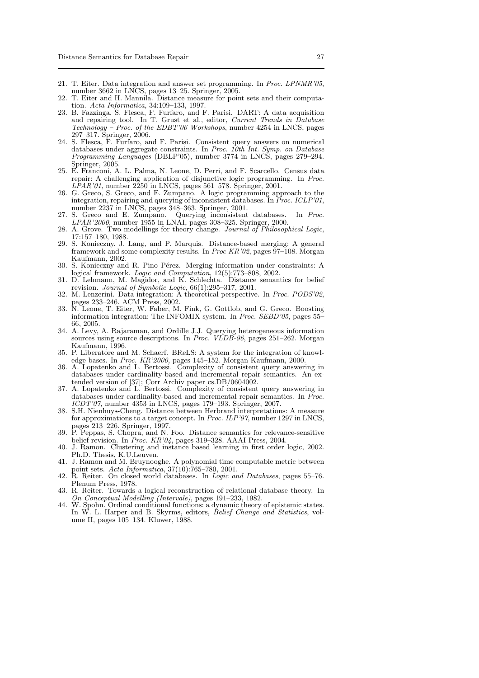- 21. T. Eiter. Data integration and answer set programming. In Proc. LPNMR'05, number 3662 in LNCS, pages 13–25. Springer, 2005.
- 22. T. Eiter and H. Mannila. Distance measure for point sets and their computation. Acta Informatica, 34:109–133, 1997.
- 23. B. Fazzinga, S. Flesca, F. Furfaro, and F. Parisi. DART: A data acquisition and repairing tool. In T. Grust et al., editor, Current Trends in Database Technology – Proc. of the EDBT'06 Workshops, number 4254 in LNCS, pages 297–317. Springer, 2006.
- 24. S. Flesca, F. Furfaro, and F. Parisi. Consistent query answers on numerical databases under aggregate constraints. In Proc. 10th Int. Symp. on Database Programming Languages (DBLP'05), number 3774 in LNCS, pages 279-294. Springer, 2005.
- 25. E. Franconi, A. L. Palma, N. Leone, D. Perri, and F. Scarcello. Census data repair: A challenging application of disjunctive logic programming. In Proc.  $LPAR'01$ , number 2250 in LNCS, pages 561–578. Springer, 2001.
- 26. G. Greco, S. Greco, and E. Zumpano. A logic programming approach to the integration, repairing and querying of inconsistent databases. In Proc. ICLP'01, number 2237 in LNCS, pages 348–363. Springer, 2001.
- 27. S. Greco and E. Zumpano. Querying inconsistent databases. In Proc. LPAR'2000, number 1955 in LNAI, pages 308–325. Springer, 2000.
- 28. A. Grove. Two modellings for theory change. Journal of Philosophical Logic, 17:157–180, 1988.
- 29. S. Konieczny, J. Lang, and P. Marquis. Distance-based merging: A general framework and some complexity results. In Proc KR'02, pages 97–108. Morgan Kaufmann, 2002.
- 30. S. Konieczny and R. Pino Pérez. Merging information under constraints: A logical framework. Logic and Computation, 12(5):773-808, 2002.
- 31. D. Lehmann, M. Magidor, and K. Schlechta. Distance semantics for belief revision. Journal of Symbolic Logic,  $66(1)$ :295–317, 2001.
- 32. M. Lenzerini. Data integration: A theoretical perspective. In Proc. PODS'02, pages 233–246. ACM Press, 2002.
- 33. N. Leone, T. Eiter, W. Faber, M. Fink, G. Gottlob, and G. Greco. Boosting information integration: The INFOMIX system. In *Proc. SEBD'05*, pages 55– 66, 2005.
- 34. A. Levy, A. Rajaraman, and Ordille J.J. Querying heterogeneous information sources using source descriptions. In *Proc.*  $VLDB-96$ , pages 251–262. Morgan Kaufmann, 1996.
- 35. P. Liberatore and M. Schaerf. BReLS: A system for the integration of knowledge bases. In Proc. KR'2000, pages 145–152. Morgan Kaufmann, 2000.
- 36. A. Lopatenko and L. Bertossi. Complexity of consistent query answering in databases under cardinality-based and incremental repair semantics. An extended version of [37]; Corr Archiv paper cs.DB/0604002.
- 37. A. Lopatenko and L. Bertossi. Complexity of consistent query answering in databases under cardinality-based and incremental repair semantics. In Proc.  $ICDT'07$ , number 4353 in LNCS, pages 179–193. Springer, 2007.
- 38. S.H. Nienhuys-Cheng. Distance between Herbrand interpretations: A measure for approximations to a target concept. In *Proc. ILP'97*, number 1297 in LNCS, pages 213–226. Springer, 1997.
- 39. P. Peppas, S. Chopra, and N. Foo. Distance semantics for relevance-sensitive belief revision. In Proc. KR'04, pages 319–328. AAAI Press, 2004.
- 40. J. Ramon. Clustering and instance based learning in first order logic, 2002. Ph.D. Thesis, K.U.Leuven.
- 41. J. Ramon and M. Bruynooghe. A polynomial time computable metric between point sets. Acta Informatica,  $37(10)$ :765–780, 2001.
- 42. R. Reiter. On closed world databases. In Logic and Databases, pages 55–76. Plenum Press, 1978.
- 43. R. Reiter. Towards a logical reconstruction of relational database theory. In On Conceptual Modelling (Intervale), pages 191–233, 1982.
- 44. W. Spohn. Ordinal conditional functions: a dynamic theory of epistemic states. In W. L. Harper and B. Skyrms, editors, Belief Change and Statistics, volume II, pages 105–134. Kluwer, 1988.